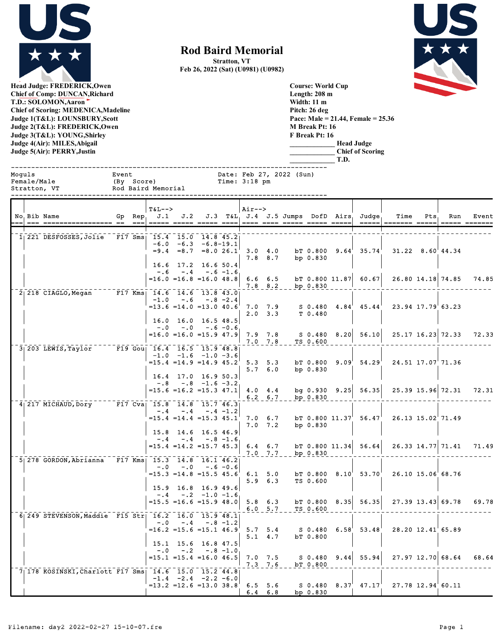

**Rod Baird Memorial**

**Stratton, VT**





**Head Judge: FREDERICK,Owen Chief of Comp: DUNCAN,Richard T.D.: SOLOMON,Aaron Chief of Scoring: MEDENICA,Madeline Judge 1(T&L): LOUNSBURY,Scott Judge 2(T&L): FREDERICK,Owen Judge 3(T&L): YOUNG,Shirley Judge 4(Air): MILES,Abigail Judge 5(Air): PERRY,Justin** 

**Course: World Cup Length: 208 m Width: 11 m Pitch: 26 deg Pace: Male = 21.44, Female = 25.36 M Break Pt: 16 F Break Pt: 16 \_\_\_\_\_\_\_\_\_\_\_\_\_ Head Judge \_\_\_\_\_\_\_\_\_\_\_\_\_ Chief of Scoring**

 $=$ 15.4  $=$ 14.2  $=$ 15.7 45.3 6.4 6.7 bT 0.800 11.34 56.64 26.33 14.77 71.41 71.49

=15.5 =16.6 =15.9 48.0 5.8 6.3 bT 0.800 8.35 56.35 27.39 13.43 69.78 69.78

 $=$ 15.1 =15.4 =16.0 46.5 7.0 7.5  $\,$  S 0.480 9.44 55.94 27.97 12.70 68.64 68.64

=15.3 =14.8 =15.5 45.6 6.1 5.0 bT 0.800 8.10 53.70 26.10 15.06 68.76 5.9 6.3 TS 0.600

=16.2 =15.6 =15.1 46.9 5.7 5.4 S 0.480 6.58 53.48 28.20 12.41 65.89 bT 0.800

=13.2 =12.6 =13.0 38.8  $^{\circ}$  6.5 5.6  $^{\circ}$  S 0.480 8.37 47.17 27.78 12.94 60.11

 $7.0$   $7.7$   $bp$   $0.830$ 

 $7.3$   $7.6$  bT  $0.800$ 

6.4 6.8 bp 0.830

 $6.0 - 5.7$ 

|        |                             |                     |                                                                   |         |                                                                               |                    |                 |                          |            | T.D. |                                                             |                                                                                         |           |                          |       |
|--------|-----------------------------|---------------------|-------------------------------------------------------------------|---------|-------------------------------------------------------------------------------|--------------------|-----------------|--------------------------|------------|------|-------------------------------------------------------------|-----------------------------------------------------------------------------------------|-----------|--------------------------|-------|
| Moquls | Female/Male<br>Stratton, VT | Event<br>(By Score) | Rod Baird Memorial                                                |         |                                                                               | Time: $3:18$ pm    |                 | Date: Feb 27, 2022 (Sun) |            |      |                                                             |                                                                                         |           |                          |       |
|        | No. Bib Name                |                     | $TAL--$<br>Gp Rep. J.1 J.2 J.3 T&L J.4 J.5 Jumps DofD Airs Judge. |         |                                                                               | $Air--$            |                 |                          |            |      | =====                                                       |                                                                                         | Time Pts. | Run<br>$=$ ==== $=$ ==== | Event |
|        | $1$   221 DESFOSSES, Jolie  |                     | F17 Sms 15.4 15.0 14.8 45.2<br>$= 9.4$                            | $= 8.7$ | $-6.0 -6.3 -6.8 - 19.1$                                                       | $=8.026.1$ 3.0 4.0 | $7.8$ 8.7       |                          | bp $0.830$ |      |                                                             | bt 0.800 $9.64'$ 35.74' 31.22 8.60'44.34                                                |           |                          |       |
|        | $2   218$ CIAGLO, Megan     |                     | F17 Kms: 14.6 14.6 13.8 43.0                                      |         | 16.6 17.2 16.6 50.4<br>$-.6 - .4 - .6 - 1.6$                                  |                    | $7.8$ $8.2$     |                          | bp 0.830   |      | $=16.0$ $=16.8$ $=16.0$ $48.8$ 6.6 6.5 bT 0.800 11.87 60.67 |                                                                                         |           | 26.80 14.18 74.85        | 74.85 |
|        |                             |                     |                                                                   |         | $-1.0 - .6 - .8 - 2.4$<br>$16.0$ $16.0$ $16.5$ $48.5$                         |                    | $2.0$ $3.3$     |                          | T 0.480    |      |                                                             | $=13.6$ $=14.0$ $=13.0$ $40.6$ $7.0$ $7.9$ S 0.480 $4.84$ $45.44$ $23.94$ $17.79$ 63.23 |           |                          |       |
|        |                             |                     |                                                                   |         | $-.0$ $-.0$ $-.6$ $-0.6$                                                      |                    | $7.0$ $7.8$     |                          | TS 0.600   |      |                                                             | $=16.0$ $=15.0$ $=15.9$ 47.9 7.9 7.8 S 0.480 8.20 56.10 25.17 16.23 72.33               |           |                          | 72.33 |
|        | $3 203$ LEWIS, Taylor       |                     | $\overline{F19}$ Gou 16.4 16.5 15.9 48.8                          |         | $-1.0$ $-1.6$ $-1.0$ $-3.6$<br>$=15.4$ $=14.9$ $=14.9$ $45.2^{\circ}$ 5.3 5.3 |                    | 5.76.0          |                          | bp 0.830   |      |                                                             | bT 0.800 $9.09'$ 54.29' 24.51 17.07'71.36                                               |           |                          |       |
|        | 4 217 MICHAUD, Dory         |                     | $F17$ Cva  15.8  14.8  15.7  46.3                                 |         | $16.4$ 17.0 16.9 50.3<br>$-.8 - .8 - 1.6 - 3.2$                               |                    | $6.2 \quad 6.7$ |                          | bp 0.830   |      |                                                             | $=$ 15.6 =16.2 =15.3 47.1 4.0 4.4 bg 0.930 9.25 56.35 25.39 15.96 72.31                 |           |                          | 72.31 |
|        |                             |                     |                                                                   |         | $-.4-.4-.4-.4-.2$<br>15.8 14.6 16.5 46.9                                      |                    | $7.0$ $7.2$     |                          | bp 0.830   |      |                                                             | $=15.4$ $=14.4$ $=15.3$ $45.1$ 7.0 6.7 bT 0.800 11.37 56.47 26.13 15.02 71.49           |           |                          |       |

 $-.4$   $-.8$   $-1.6$ 

-.0 -.0 -.6 -0.6

15.9 16.8 16.9 49.6  $-.4$   $-.2$   $-1.0$   $-1.6$ 

15.1 15.6 16.8 47.5<br>-.0 -.2 -.8 -1.0  $-.0$   $-.2$   $-.8$   $-1.0$ 

 $\begin{array}{cccc} -14.6 & 15.0 & 15.2 & 44.8 \\ -1.4 & -2.4 & -2.2 & -6.0 \end{array}$ 

 $-.8 -1.2$ 

5 278 GORDON, Abrianna F17 Kms 15.3 14.8 16.1 46.2

6 249 STEVENSON,Maddie F15 Str 16.2 16.0 15.9 48.1

 $7$  $178$  KOSINSKI, Charlott F17 Sms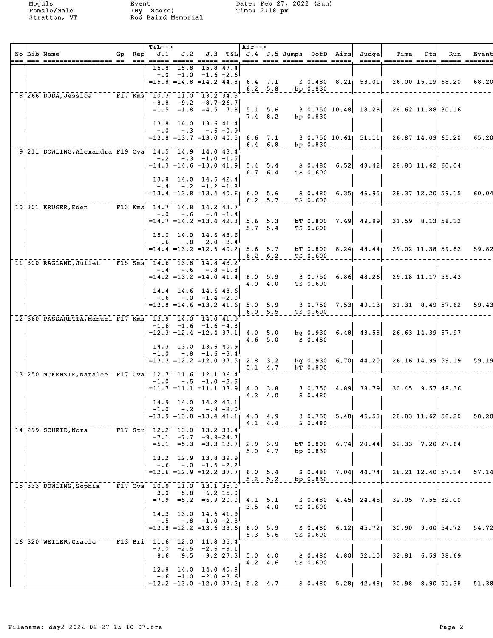|  | No Bib Name                                                                                                           | Gp Rep | $T&L-->$                                                                     |                                                                                    |                     |           | Air-->  |                 |                        |                  | $J.1$ $J.2$ $J.3$ $T&L$ $J.4$ $J.5$ Jumps DofD Airs Judge  | Time<br>===== ======= ===== ===== =====                                                              | Pts | Run                    | Event |
|--|-----------------------------------------------------------------------------------------------------------------------|--------|------------------------------------------------------------------------------|------------------------------------------------------------------------------------|---------------------|-----------|---------|-----------------|------------------------|------------------|------------------------------------------------------------|------------------------------------------------------------------------------------------------------|-----|------------------------|-------|
|  |                                                                                                                       |        | 15.8                                                                         | 15.8<br>$-0$ $-1.0$ $-1.6$ $-2.6$                                                  | 15.8 47.4           |           |         |                 | $6.2$ $5.8$ bp $0.830$ |                  |                                                            | $=$ 15.8 $=$ 14.8 $=$ 14.2 44.8 6.4 7.1 S 0.480 8.21 53.01 26.00 15.19 68.20                         |     |                        | 68.20 |
|  | 8 266 DUDA, Jessica F17 Kms 10.3 11.0 13.2 34.5                                                                       |        |                                                                              | $-8.8$ $-9.2$ $-8.7-26.7$                                                          |                     |           |         |                 |                        |                  |                                                            | $=1.5$ $=1.8$ $=4.5$ $7.8$ $5.1$ $5.6$ $3.0.750$ $10.48$ $18.28$ $28.62$ $11.88$ $30.16$             |     |                        |       |
|  |                                                                                                                       |        |                                                                              | 13.8 14.0 13.6 41.4<br>$-.0 - .3 - .6 - 0.9$                                       |                     |           |         | $7.4$ 8.2       |                        | bp 0.830         |                                                            | $=13.8$ $=13.7$ $=13.0$ $40.5$ 6.6 7.1 3 0.750 10.61 $\mid$ 51.11 26.87 14.09 65.20                  |     |                        | 65.20 |
|  | $9'$ 211 DOWLING, Alexandra F19 Cva $14.5$ $14.9$ $14.0$ $43.4$                                                       |        |                                                                              | $-.2$ $-.3$ $-1.0$ $-1.5$                                                          |                     |           |         |                 | $6.4$ $6.8$ bp $0.830$ |                  |                                                            | $=14.3$ $=14.6$ $=13.0$ $41.9$ 5.4 5.4 S 0.480 6.52 48.42 28.83 11.62 60.04                          |     |                        |       |
|  |                                                                                                                       |        |                                                                              | 13.8 14.0 14.6 42.4<br>$-.4$ $-.2$ $-1.2$ $-1.8$                                   |                     |           |         |                 | 6.7 6.4 TS 0.600       |                  |                                                            | $=$ 13.4 $=$ 13.8 $=$ 13.4 $\{40.6\}$ 6.0 5.6 S 0.480 6.35 $\{46.95\}$ 28.37 12.20 59.15             |     |                        | 60.04 |
|  | $10^{-3}$ 301 KRUGER, Eden $F13$ Kms <sup><math>-14.7</math></sup> $14.8$ $14.2$ $43.7$                               |        | $-0.0$                                                                       |                                                                                    | $-.6 - .8 - 1.4$    |           |         |                 | 6.2 5.7 TS 0.600       |                  |                                                            |                                                                                                      |     |                        |       |
|  |                                                                                                                       |        |                                                                              | 15.0 14.0 14.6 43.6<br>$-.6 - .8 - 2.0 - 3.4$                                      |                     |           |         | 5.7, 5.4        |                        | TS 0.600         | $=14.7$ $=14.2$ $=13.4$ $42.3$ 5.6 5.3 bT 0.800 7.69 49.99 |                                                                                                      |     | $31.59$ $8.13$ $58.12$ |       |
|  | 11 300 RAGLAND, Juliet F15 Sms 14.6 13.8 14.8 43.2                                                                    |        |                                                                              | $-.4 - .6 - .8 - 1.8$                                                              |                     |           |         |                 | $6.2$ $6.2$ TS $0.600$ |                  |                                                            | $=14.4$ $=13.2$ $=12.6$ $40.2$ 5.6 5.7 bT 0.800 8.24 48.44 29.02 11.38 59.82                         |     |                        | 59.82 |
|  |                                                                                                                       |        |                                                                              | 14.4 14.6 14.6 43.6                                                                |                     |           |         | 4.0 4.0         |                        | TS 0.600         |                                                            | $=14.2$ $=13.2$ $=14.0$ $41.4$ 6.0 5.9 3 0.750 6.86 48.26 29.18 11.17 59.43                          |     |                        |       |
|  | $12^{\degree}360^{\degree}$ PASSARETTA, Manuel F17 Kms $^{\degree}$ 13.9 $^{\degree}14.0^{\degree}14.0^{\degree}41.9$ |        |                                                                              | $-.6 - .0 -1.4 -2.0$                                                               |                     |           |         |                 | 6.0 5.5 TS 0.600       |                  |                                                            | $=$ 13.8 $=$ 14.6 $=$ 13.2 $41.6$ 5.0 5.9 3 0.750 7.53 49.13 31.31 8.49 57.62                        |     |                        | 59.43 |
|  |                                                                                                                       |        |                                                                              | $-1.6$ $-1.6$ $-1.6$ $-4.8$<br>$=12.3$ $=12.4$ $=12.4$ 37.1<br>14.3 13.0 13.6 40.9 |                     |           | 4.0 5.0 | 4.6, 5.0        |                        | S 0.480          |                                                            | bg $0.930$ 6.48 43.58 26.63 14.39 57.97                                                              |     |                        |       |
|  |                                                                                                                       |        |                                                                              | $-1.0 - .8 - 1.6 - 3.4$<br>$=13.3$ $=12.2$ $=12.0$ $37.5$ 2.8 3.2                  |                     |           |         | $5.1 \quad 4.7$ |                        | bT 0.800         |                                                            | bg 0.930 6.70 44.20 26.16 14.99 59.19                                                                |     |                        | 59.19 |
|  | 13 250 MCKENZIE, Natalee F17 Cva 12.7 11.6 12.1 36.4                                                                  |        |                                                                              | $-1.0 - .5 - 1.0 - 2.5$                                                            |                     |           |         | $4.2 \quad 4.0$ |                        | S 0.480          |                                                            | $=$ 11.7 =11.1 =11.1 33.9 4.0 3.8 3 0.750 4.89 38.79 30.45 9.57 48.36                                |     |                        |       |
|  |                                                                                                                       |        |                                                                              | 14.9 14.0 14.2 43.1<br>$-1.0$ $-.2$ $-.8$ $-2.0$                                   |                     |           |         | $4.1 \quad 4.4$ |                        | $- -  S = 0.480$ |                                                            | $=$ 13.9 $=$ 13.8 $=$ 13.4 $\{41.1\}$ $\{4.3\}$ $\{4.9\}$ 3 0.750 5.48 $\{46.58\}$ 28.83 11.62 58.20 |     |                        | 58.20 |
|  | $14$ 299 SCHEID, Nora F17 Str <sup>+</sup> 12.2 13.0 13.2 38.4                                                        |        |                                                                              | $-7.1$ $-7.7$ $-9.9-24.7$<br>$=5.1$ $=5.3$ $=3.3$ 13.7 2.9 3.9                     |                     |           |         | $5.0 \quad 4.7$ |                        | bp 0.830         |                                                            | bt 0.800 6.74 20.44 32.33 7.20 27.64                                                                 |     |                        |       |
|  |                                                                                                                       |        | $-0.6$                                                                       | $13.2$ $12.9$                                                                      | $-.0$ $-1.6$ $-2.2$ | 13.8 39.9 |         | 5.2 5.2         |                        | bp 0.830         |                                                            | $=$ 12.6 $=$ 12.9 $=$ 12.2 37.7  6.0 5.4 S 0.480 7.04  44.74  28.21 12.40  57.14                     |     |                        | 57.14 |
|  | 15 333 DOWLING, Sophia                                                                                                |        | $\sqrt{F17} \text{ Cva}^{-1} 10.9 \text{ } 11.0 \text{ } 13.1 \text{ } 35.0$ | $-3.0$ $-5.8$ $-6.2-15.0$<br>$=7.9$ $=5.2$ $=6.9$ 20.0 4.1 5.1                     |                     |           |         |                 |                        |                  | S 0.480 4.45 24.45                                         |                                                                                                      |     | $32.05$ $7.55$ 32.00   |       |
|  |                                                                                                                       |        | $-1.5$                                                                       | 14.3 13.0 14.6 41.9<br>$-.8$ $-1.0$ $-2.3$                                         |                     |           |         | $3.5 \quad 4.0$ |                        | TS 0.600         |                                                            | $=13.8$ $=12.2$ $=13.6$ 39.6 6.0 5.9 S 0.480 6.12 45.72 30.90 9.00 54.72 54.72                       |     |                        |       |
|  | 16 320 WEILER, Gracie                                                                                                 |        | F13 Bri 11.6 12.0 11.8 35.4                                                  |                                                                                    |                     |           |         | $5.3 \quad 5.6$ |                        | TS 0.600         |                                                            |                                                                                                      |     |                        |       |
|  |                                                                                                                       |        |                                                                              | $-3.0$ $-2.5$ $-2.6$ $-8.1$<br>12.8 14.0 14.0 40.8                                 |                     |           |         | $4.2 \quad 4.6$ |                        | TS 0.600         | $=8.6$ $=9.5$ $=9.2$ 27.3 5.0 4.0 S 0.480 4.80 32.10       |                                                                                                      |     | $32.81$ 6.59 38.69     |       |
|  |                                                                                                                       |        |                                                                              | $-.6$ $-1.0$ $-2.0$ $-3.6$                                                         |                     |           |         |                 |                        |                  |                                                            | $=$ 12.2 =13.0 =12.0 37.2  5.2 4.7 S 0.480 5.28  42.48  30.98 8.90  51.38 51.38                      |     |                        |       |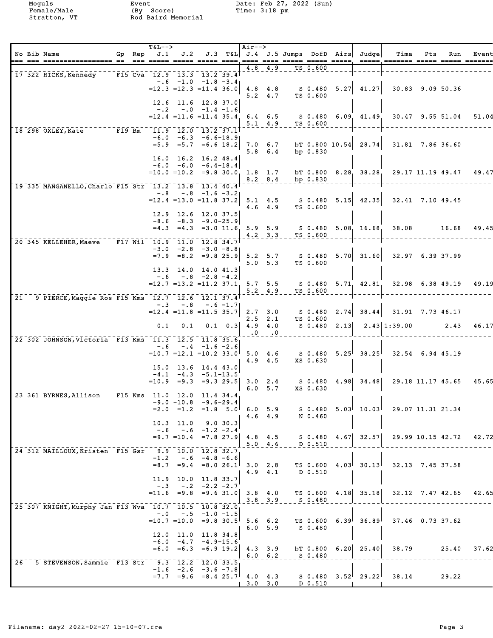|                 | No Bib Name<br>--- --- -------------<br>===== ==              | Gp Rep | $T&L-->$<br>J.1                          | J.2                                                          |                       |          | Air-->                  |                                    |                        |             | J.3 T&L J.4 J.5 Jumps DofD Airs Judge                     | Time<br><u> ----- ------- ----- ----- -----</u>                                                                              | Pts | Run                    | Event |
|-----------------|---------------------------------------------------------------|--------|------------------------------------------|--------------------------------------------------------------|-----------------------|----------|-------------------------|------------------------------------|------------------------|-------------|-----------------------------------------------------------|------------------------------------------------------------------------------------------------------------------------------|-----|------------------------|-------|
|                 | 17 322 HICKS, Kennedy                                         |        | F15 Cva <sup>2</sup> 12.9 13.3 13.2 39.4 |                                                              |                       |          | 4.8                     | 4.9                                |                        | TS 0.600    |                                                           |                                                                                                                              |     |                        |       |
|                 |                                                               |        |                                          | $-6$ $-1.0$ $-1.8$ $-3.4$<br>$=12.3$ $=12.3$ $=11.4$ 36.0    |                       |          |                         | $4.8$ $4.8$<br>$5.2 \quad 4.7$     |                        | TS 0.600    | $S$ 0.480 5.27 41.27                                      |                                                                                                                              |     | $30.83$ $9.09$ 50.36   |       |
|                 |                                                               |        |                                          | 12.6 11.6 12.8 37.0<br>$-.2 \quad -.0 \quad -1.4 \quad -1.6$ |                       |          |                         |                                    |                        |             |                                                           |                                                                                                                              |     |                        |       |
|                 |                                                               |        |                                          |                                                              |                       |          |                         | $5.1 \quad 4.9$                    |                        | TS 0.600    |                                                           | $=12.4$ $=11.6$ $=11.4$ 35.4 6.4 6.5 8 0.480 6.09 41.49 30.47 9.55 51.04                                                     |     |                        | 51.04 |
|                 | 18 298 OXLEY, Kate F19 Bm                                     |        |                                          | $11.9$ 12.0 13.2 37.1<br>$-6.0 -6.3 -6.6 - 18.9$             |                       |          |                         |                                    |                        |             |                                                           |                                                                                                                              |     |                        |       |
|                 |                                                               |        |                                          | $=5.9$ $=5.7$ $=6.6$ 18.2                                    |                       |          |                         | 7.0 6.7<br>$5.8 \t6.4$             |                        | bp $0.830$  | bT 0.800 10.54 28.74                                      |                                                                                                                              |     | $31.81$ 7.86 36.60     |       |
|                 |                                                               |        |                                          | 16.0 16.2 16.2 48.4<br>$-6.0 -6.0 -6.4-18.4$                 |                       |          |                         |                                    |                        |             |                                                           |                                                                                                                              |     |                        |       |
|                 |                                                               |        |                                          |                                                              |                       |          |                         |                                    | 8.2 8.4 bp 0.830       |             |                                                           | $=10.0$ $=10.2$ $=9.8$ 30.0 1.8 1.7 bT 0.800 8.28 38.28 29.17 11.19 49.47                                                    |     |                        | 49.47 |
|                 | 19 335 MANGANELLO, Charlo F15 Str 13.2 13.8 13.4 40.4         |        |                                          | $-.8 - .8 - 1.6 - 3.2$                                       |                       |          |                         |                                    |                        |             |                                                           |                                                                                                                              |     |                        |       |
|                 |                                                               |        |                                          |                                                              |                       |          |                         | $4.6 \t4.9$                        |                        | TS 0.600    | $=12.4$ $=13.0$ $=11.8$ 37.2 5.1 4.5 S 0.480 5.15 42.35   |                                                                                                                              |     | $32.41$ $7.10$ 49.45   |       |
|                 |                                                               |        |                                          | 12.9 12.6 12.0 37.5<br>$-8.6 - 8.3 - 9.0 - 25.9$             |                       |          |                         |                                    |                        |             |                                                           |                                                                                                                              |     |                        |       |
|                 |                                                               |        |                                          |                                                              |                       |          |                         |                                    | $4.2$ $3.3$ $TS$ 0.600 |             | $=4.3$ $=4.3$ $=3.0$ 11.6 5.9 5.9 S 0.480 5.08 16.68      | 38.08                                                                                                                        |     | 16.68                  | 49.45 |
|                 | 20 345 KELLEHER, Maeve F17 Will 10.9 11.0 12.8 34.7           |        |                                          | $-3.0$ $-2.8$ $-3.0$ $-8.8$                                  |                       |          |                         |                                    |                        |             |                                                           |                                                                                                                              |     |                        |       |
|                 |                                                               |        |                                          |                                                              |                       |          |                         | 5.0, 5.3                           |                        | TS 0.600    |                                                           | $=7.9$ $=8.2$ $=9.8$ $25.9$ 5.2 5.7 S 0.480 5.70 31.60 32.97 6.39 37.99                                                      |     |                        |       |
|                 |                                                               |        | $-0.6$                                   | $13.3$ 14.0 14.0 41.3                                        | $-.8$ $-.2.8$ $-.4.2$ |          |                         |                                    |                        |             |                                                           |                                                                                                                              |     |                        |       |
|                 |                                                               |        |                                          |                                                              |                       |          |                         | $5.2 \quad 4.9$                    |                        | TS 0.600    | $=12.7$ $=13.2$ $=11.2$ 37.1, 5.7 5.5 S 0.480 5.71, 42.81 |                                                                                                                              |     | $32.98$ 6.38, 49.19    | 49.19 |
| 21 <sup>1</sup> | 9 PIERCE, Maggie Ros F15 Kms <sup>1</sup> 12.7 12.6 12.1 37.4 |        |                                          |                                                              |                       |          |                         |                                    |                        |             |                                                           |                                                                                                                              |     |                        |       |
|                 |                                                               |        |                                          | $-.3 - .8 - .6 - 1.7$<br>$=12.4$ $=11.8$ $=11.5$ 35.7        |                       |          |                         |                                    |                        |             | $2.7$ 3.0 S 0.480 2.74 38.44                              |                                                                                                                              |     | $31.91$ 7.73 46.17     |       |
|                 |                                                               |        | 0.1                                      | 0.1                                                          |                       |          | $0.1 \quad 0.3$ 4.9 4.0 | $2.5$ $2.1$<br>$\cdot$ 0 $\cdot$ 0 |                        | TS 0.600    |                                                           | S 0.480 2.13 2.43 1:39.00                                                                                                    |     | $\vert 2.43 \vert$     | 46.17 |
|                 | 22 302 JOHNSON, Victoria F13 Kms 11.3 12.5 11.8 35.6          |        |                                          | $-.6 - .4 -1.6 -2.6$                                         |                       |          |                         |                                    |                        |             |                                                           |                                                                                                                              |     |                        |       |
|                 |                                                               |        |                                          |                                                              |                       |          |                         | 4.9 4.5                            |                        | XS 0.630    |                                                           | $=10.7$ $=12.1$ $=10.2$ 33.0 <sup> </sup> 5.0 4.6 S 0.480 5.25 <sup> </sup> 38.25 <sup> </sup> 32.54 6.94 <sup> </sup> 45.19 |     |                        |       |
|                 |                                                               |        |                                          | 15.0 13.6 14.4 43.0<br>$-4.1 -4.3 -5.1-13.5$                 |                       |          |                         |                                    |                        |             |                                                           |                                                                                                                              |     |                        |       |
|                 |                                                               |        |                                          | $=10.9$ $=9.3$ $=9.3$ $29.5$ 3.0 2.4                         |                       |          |                         | $6.0\quad 5.7$                     |                        | XS 0.630    | S 0.480 4.98 34.48                                        |                                                                                                                              |     | 29.18 11.17 45.65      | 45.65 |
|                 | 23 361 BYRNES, Allison F15 Kms 11.0 12.0 11.4 34.4            |        |                                          | $-9.0 - 10.8 - 9.6 - 29.4$                                   |                       |          |                         |                                    |                        |             |                                                           |                                                                                                                              |     |                        |       |
|                 |                                                               |        |                                          | $=2.0$ $=1.2$ $=1.8$ $5.0$ 6.0 5.9                           |                       |          |                         | $4.6$ $4.9$                        |                        | N 0.460     |                                                           | $S$ 0.480 5.03 10.03 29.07 11.31 21.34                                                                                       |     |                        |       |
|                 |                                                               |        |                                          | $10.3$ 11.0<br>$-.6 - .6 - 1.2 - 2.4$                        |                       | 9.0 30.3 |                         |                                    |                        |             |                                                           |                                                                                                                              |     |                        |       |
|                 |                                                               |        |                                          | $= 9.7$ $= 10.4$ $= 7.8$ 27.9 4.8 4.5                        |                       |          |                         | $5.0 \t 4.6$                       |                        | D 0.510     | $S$ 0.480 4.67 32.57                                      |                                                                                                                              |     | 29.99 10.15 42.72      | 42.72 |
|                 | 24 312 MAILLOUX, Kristen F15 Gsr, 9.9 10.0 12.8 32.7          |        | $-1.2$                                   |                                                              | $-.6 -4.8 -6.6$       |          |                         |                                    |                        |             |                                                           |                                                                                                                              |     |                        |       |
|                 |                                                               |        | $= 8.7$                                  |                                                              | $=9.4 = 8.0 26.1$     |          | $3.0$ 2.8               | $4.9 \quad 4.1$                    |                        | D 0.510     |                                                           | TS $0.600 \quad 4.03$ $30.13$ $32.13 \quad 7.45$ 37.58                                                                       |     |                        |       |
|                 |                                                               |        | $-.3$                                    | 11.9 10.0 11.8 33.7                                          | $-.2 -2.2 -2.7$       |          |                         |                                    |                        |             |                                                           |                                                                                                                              |     |                        |       |
|                 |                                                               |        |                                          | $=11.6$ $=9.8$ $=9.6$ 31.0 3.8 4.0                           |                       |          |                         | $3.8$ $3.9$                        |                        | $S = 0.480$ | TS 0.600 4.18 35.18                                       |                                                                                                                              |     | $32.12$ $7.47$ $42.65$ | 42.65 |
|                 | 25, 307 KNIGHT, Murphy Jan F13 Wva, 10.7 10.5 10.8 32.0       |        | $-.0$                                    |                                                              | $-.5$ $-1.0$ $-1.5$   |          |                         |                                    |                        |             |                                                           |                                                                                                                              |     |                        |       |
|                 |                                                               |        |                                          | $=10.7$ $=10.0$ $=9.8$ 30.5 5.6 6.2                          |                       |          |                         |                                    |                        | S 0.480     | TS 0.600 6.39 36.89                                       |                                                                                                                              |     | $37.46$ 0.73 37.62     |       |
|                 |                                                               |        |                                          | 12.0 11.0 11.8 34.8                                          |                       |          |                         | $6.0\quad 5.9$                     |                        |             |                                                           |                                                                                                                              |     |                        |       |
|                 |                                                               |        |                                          | $-6.0 -4.7 -4.9-15.6$<br>$=6.0$ $=6.3$ $=6.9$ 19.2           |                       |          | $4.3 \t3.9$             | $6.0 \t6.2$                        |                        |             | bT $0.800$ 6.20 25.40                                     | 38.79                                                                                                                        |     | 25.40                  | 37.62 |
| 26 <sub>1</sub> | 5 STEVENSON, Sammie F13 Str                                   |        |                                          | $\frac{1}{9.3}$ 12.2 12.0 33.5                               |                       |          |                         |                                    |                        | S 0.480     |                                                           |                                                                                                                              |     |                        |       |
|                 |                                                               |        |                                          | $-1.6$ $-2.6$ $-3.6$ $-7.8$<br>$=7.7$ =9.6 =8.4 25.7 4.0 4.3 |                       |          | $3.0$ $3.0$             |                                    |                        | D 0.510     | $S$ 0.480 3.52 29.22                                      | 38.14                                                                                                                        |     | 29.22                  |       |
|                 |                                                               |        |                                          |                                                              |                       |          |                         |                                    |                        |             |                                                           |                                                                                                                              |     |                        |       |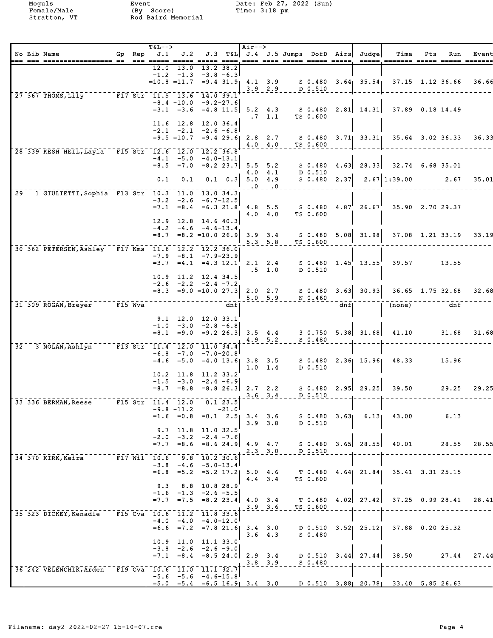| $= -$           | No Bib Name                                                                                                                  | Gp Rep | T&L-->                      |                                                             |           | $\overline{\qquad}$ $\qquad$ $\overline{\qquad}$ $\qquad$ $\qquad$ $\qquad$ $\qquad$ $\qquad$ $\qquad$ $\qquad$ $\qquad$ $\qquad$ $\qquad$ $\qquad$ $\qquad$ $\qquad$ $\qquad$ $\qquad$ $\qquad$ $\qquad$ $\qquad$ $\qquad$ $\qquad$ $\qquad$ $\qquad$ $\qquad$ $\qquad$ $\qquad$ $\qquad$ $\qquad$ $\qquad$ $\qquad$ $\qquad$ $\qquad$ $\qquad$ $\q$ |                         |                            |          |     | $J.1$ $J.2$ $J.3$ $T\&L$ $J.4$ $J.5$ Jumps DofD Airs Judge     | Time<br>===== ======= =====                                                                   | Pts | Run                      | Event |
|-----------------|------------------------------------------------------------------------------------------------------------------------------|--------|-----------------------------|-------------------------------------------------------------|-----------|-------------------------------------------------------------------------------------------------------------------------------------------------------------------------------------------------------------------------------------------------------------------------------------------------------------------------------------------------------|-------------------------|----------------------------|----------|-----|----------------------------------------------------------------|-----------------------------------------------------------------------------------------------|-----|--------------------------|-------|
|                 |                                                                                                                              |        | 12.0                        | 13.0<br>$-1.2$ $-1.3$ $-3.8$ $-6.3$                         | 13.2 38.2 |                                                                                                                                                                                                                                                                                                                                                       |                         |                            |          |     |                                                                |                                                                                               |     |                          |       |
|                 |                                                                                                                              |        |                             |                                                             |           |                                                                                                                                                                                                                                                                                                                                                       |                         | $3.9$ $2.9$ $10.510$       |          |     |                                                                | $=10.8$ $=11.7$ $=9.4$ 31.9 $[4.1$ 3.9 $[50.480$ 3.64 $[35.54]$ 37.15 $1.12$ 36.66            |     |                          | 36.66 |
|                 | 27 367 THOMS, Lily F17 Str 11.5 13.6 14.0 39.1                                                                               |        |                             | $-8.4$ $-10.0$ $-9.2 - 27.6$                                |           |                                                                                                                                                                                                                                                                                                                                                       | $.7 \quad 1.1$          |                            | TS 0.600 |     |                                                                | $=3.1$ $=3.6$ $=4.8$ 11.5 5.2 4.3 S 0.480 2.81 14.31 37.89 0.18 14.49                         |     |                          |       |
|                 |                                                                                                                              |        |                             | 11.6 12.8 12.0 36.4<br>$-2.1$ $-2.1$ $-2.6$ $-6.8$          |           |                                                                                                                                                                                                                                                                                                                                                       |                         |                            |          |     |                                                                | $=9.5$ =10.7 =9.4 29.6  2.8 2.7 S 0.480 3.71  33.31  35.64 3.02  36.33                        |     |                          | 36.33 |
|                 | 28 339 KESH HEIL, Layla F15 Str 12.6 12.0 12.2 36.8                                                                          |        |                             | $-4.1$ $-5.0$ $-4.0-13.1$                                   |           |                                                                                                                                                                                                                                                                                                                                                       | $4.0 \t4.0$             |                            | TS 0.600 |     |                                                                |                                                                                               |     |                          |       |
|                 |                                                                                                                              |        | 0.1                         | $=8.5$ $=7.0$ $=8.2$ 23.7<br>0.1                            |           | $0.1 \quad 0.3$ 5.0 4.9                                                                                                                                                                                                                                                                                                                               |                         |                            |          |     |                                                                | 5.5 5.2 S 0.480 4.63 28.33 32.74 6.68 35.01<br>4.0 4.1 D 0.510<br>$S$ 0.480 2.37 2.67 1:39.00 |     | 2.67                     | 35.01 |
|                 | 29 1 GIULIETTI, Sophia F13 Str 10.3 11.0 13.0 34.3                                                                           |        |                             |                                                             |           |                                                                                                                                                                                                                                                                                                                                                       | $\cdot 0 \quad \cdot 0$ |                            |          |     |                                                                |                                                                                               |     |                          |       |
|                 |                                                                                                                              |        |                             | $-3.2$ $-2.6$ $-6.7-12.5$<br>$=7.1$ $=8.4$ $=6.3$ $21.8$    |           |                                                                                                                                                                                                                                                                                                                                                       | $4.0 \quad 4.0$         |                            | TS 0.600 |     | $4.8$ 5.5 $\phantom{0}5.0.480$ $4.87^{\prime}$ 26.67           | 35.90 2.70 29.37                                                                              |     |                          |       |
|                 |                                                                                                                              |        |                             | $12.9$ $12.8$ $14.6$ $40.3$<br>$-4.2$ $-4.6$ $-4.6$ $-13.4$ |           |                                                                                                                                                                                                                                                                                                                                                       |                         |                            |          |     |                                                                | $=8.7$ $=8.2$ $=10.0$ $26.9$ 3.9 3.4 S 0.480 5.08 31.98 37.08 1.21 33.19                      |     |                          | 33.19 |
|                 | 30 362 PETERSEN, Ashley F17 Kms 11.6 12.2 12.2 36.0                                                                          |        |                             |                                                             |           |                                                                                                                                                                                                                                                                                                                                                       |                         | $5.3$ $5.8$ $TS_0.600$     |          |     |                                                                |                                                                                               |     |                          |       |
|                 |                                                                                                                              |        |                             | $-7.9 - 8.1 - 7.9 - 23.9$                                   |           |                                                                                                                                                                                                                                                                                                                                                       | $.5 \t1.0$              |                            | D 0.510  |     | $=3.7$ $=4.1$ $=4.3$ $12.1$ $2.1$ $2.4$ S 0.480 $1.45$ $13.55$ | 39.57                                                                                         |     | 13.55                    |       |
|                 |                                                                                                                              |        |                             | $10.9$ 11.2 12.4 34.5<br>$-2.6$ $-2.2$ $-2.4$ $-7.2$        |           |                                                                                                                                                                                                                                                                                                                                                       |                         |                            |          |     |                                                                |                                                                                               |     |                          | 32.68 |
|                 | $31 \mid 309 \text{ R}$ OGAN, Breyer F15 Wva                                                                                 |        |                             |                                                             | dnf       |                                                                                                                                                                                                                                                                                                                                                       |                         |                            |          | dnf |                                                                | (none)                                                                                        |     | dnf                      |       |
|                 |                                                                                                                              |        |                             | 9.1 12.0 12.0 33.1                                          |           |                                                                                                                                                                                                                                                                                                                                                       |                         |                            |          |     |                                                                |                                                                                               |     |                          |       |
|                 |                                                                                                                              |        |                             | $-1.0$ $-3.0$ $-2.8$ $-6.8$                                 |           |                                                                                                                                                                                                                                                                                                                                                       |                         | $4.9$ $5.2$ $S$ 0.480      |          |     |                                                                | $=8.1$ $=9.0$ $=9.2$ 26.3 3.5 4.4 3 0.750 5.38 31.68 41.10 31.68                              |     |                          | 31.68 |
| 32 <sub>1</sub> | 3 NOLAN, Ashlyn <sup>-----</sup> F13 Str                                                                                     |        |                             | 11.4 12.0 11.0 34.4<br>$-6.8$ $-7.0$ $-7.0$ $-20.8$         |           |                                                                                                                                                                                                                                                                                                                                                       | $1.0 \quad 1.4$         |                            | D 0.510  |     |                                                                | $=4.6$ $=5.0$ $=4.0$ $13.6$ 3.8 3.5 S 0.480 2.36 15.96 48.33                                  |     | 15.96                    |       |
|                 |                                                                                                                              |        |                             | 10.2 11.8 11.2 33.2<br>$-1.5$ $-3.0$ $-2.4$ $-6.9$          |           |                                                                                                                                                                                                                                                                                                                                                       |                         |                            |          |     |                                                                | $=8.7$ $=8.8$ $=8.8$ $26.3$ 2.7 2.2 s 0.480 2.95 29.25 39.50 29.25                            |     |                          | 29.25 |
|                 | $33\overline{336}$ BERMAN, Reese $\overline{r15}$ Str $\overline{11.4}$ $\overline{12.0}$ $\overline{0.1}$ $\overline{23.5}$ |        |                             |                                                             |           |                                                                                                                                                                                                                                                                                                                                                       |                         | $3.6$ $3.4$ D 0.510        |          |     |                                                                |                                                                                               |     |                          |       |
|                 |                                                                                                                              |        |                             | $-9.8$ $-11.2$ $-21.0$                                      |           |                                                                                                                                                                                                                                                                                                                                                       | $3.9$ $3.8$             |                            | D 0.510  |     | $=1.6$ $=0.8$ $=0.1$ $2.5$ 3.4 3.6 S 0.480 3.63 6.13           | 43.00                                                                                         |     | $1\quad 6.13$            |       |
|                 |                                                                                                                              |        |                             | $9.7$ 11.8 11.0 32.5<br>$-2.0$ $-3.2$ $-2.4$ $-7.6$         |           |                                                                                                                                                                                                                                                                                                                                                       |                         |                            |          |     |                                                                | $=7.7$ $=8.6$ $=8.6$ $24.9$ $4.9$ $4.7$ S 0.480 3.65 28.55 40.01                              |     | $\frac{28.55}{28.55}$    |       |
|                 | 34 370 KIRK, Keira F17 Will 10.6 9.8 10.2 30.6                                                                               |        |                             | $-3.8$ $-4.6$ $-5.0-13.4$                                   |           |                                                                                                                                                                                                                                                                                                                                                       |                         | $2.3 - 3.0 - 0.510$        |          |     |                                                                |                                                                                               |     |                          |       |
|                 |                                                                                                                              |        | 9.3                         | $=6.8$ $=5.2$ $=5.2$ 17.2 5.0 4.6<br>8.8 10.8 28.9          |           |                                                                                                                                                                                                                                                                                                                                                       | $4.4$ $3.4$             |                            | TS 0.600 |     |                                                                | $T$ 0.480 4.64 21.84 35.41 3.31 25.15                                                         |     |                          |       |
|                 |                                                                                                                              |        |                             | $-1.6$ $-1.3$ $-2.6$ $-5.5$                                 |           | 1, 3.9, 3.6                                                                                                                                                                                                                                                                                                                                           |                         |                            | TS 0.600 |     | $=7.7$ $=7.5$ $=8.2$ 23.4 4.0 3.4 T 0.480 4.02 27.42           |                                                                                               |     | $37.25$ 0.99 28.41 28.41 |       |
|                 | 35 323 DICKEY, Kenadie F15 Cva 10.6 11.2 11.8 33.6                                                                           |        |                             | $-4.0 -4.0 -4.0 -12.0$                                      |           |                                                                                                                                                                                                                                                                                                                                                       |                         |                            |          |     |                                                                | $=6.6$ $=7.2$ $=7.8$ 21.6 3.4 3.0 D 0.510 3.52 25.12 37.88 0.20 25.32                         |     |                          |       |
|                 |                                                                                                                              |        |                             | 10.9 11.0 11.1 33.0                                         |           |                                                                                                                                                                                                                                                                                                                                                       | $3.6$ 4.3               |                            | S 0.480  |     |                                                                |                                                                                               |     |                          |       |
|                 |                                                                                                                              |        |                             | $-3.8$ $-2.6$ $-2.6$ $-9.0$                                 |           |                                                                                                                                                                                                                                                                                                                                                       |                         | $3.8 - 3.9 - -  5 - 0.480$ |          |     |                                                                | $=7.1$ $=8.4$ $=8.5$ 24.0 2.9 3.4 D 0.510 3.44 27.44 38.50 27.44 27.44                        |     |                          |       |
|                 | 36 242 VELENCHIK, Arden F19 Cva                                                                                              |        | $10.6$ $11.0$ $11.1$ $32.7$ | $-5.6$ $-5.6$ $-4.6-15.8$                                   |           |                                                                                                                                                                                                                                                                                                                                                       |                         |                            |          |     |                                                                | $=5.0$ $=5.4$ $=6.5$ 16.9 3.4 3.0 D 0.510 3.88 20.78 33.40 5.85 26.63                         |     |                          |       |
|                 |                                                                                                                              |        |                             |                                                             |           |                                                                                                                                                                                                                                                                                                                                                       |                         |                            |          |     |                                                                |                                                                                               |     |                          |       |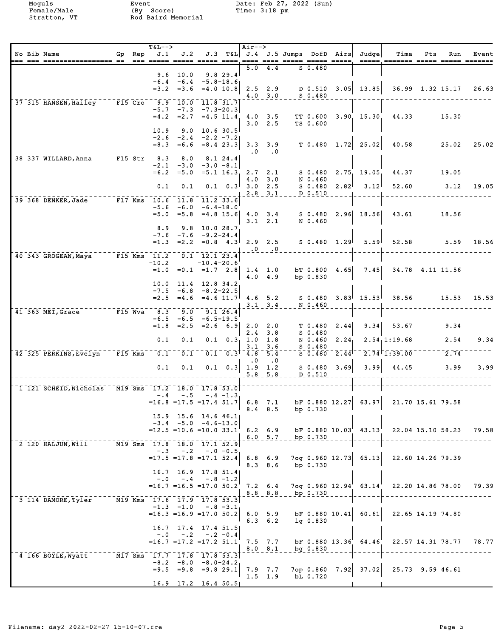|  | No Bib Name<br> --- --- ---------------- --  --  --- ---- ----  ----  ----  ----  ----  ----  ----  -----  -----  -----  -----  ----- |                      | $Gp$ Rep | $T&L--$<br>J.1            | J.2                                                                                       |                                                                         |                 | Air-->                            |                                       |                  |                                 |                | J.3 T&L J.4 J.5 Jumps DofD Airs Judge                       | Time                                                                                  | Pts | Run                | Event |
|--|---------------------------------------------------------------------------------------------------------------------------------------|----------------------|----------|---------------------------|-------------------------------------------------------------------------------------------|-------------------------------------------------------------------------|-----------------|-----------------------------------|---------------------------------------|------------------|---------------------------------|----------------|-------------------------------------------------------------|---------------------------------------------------------------------------------------|-----|--------------------|-------|
|  |                                                                                                                                       |                      |          |                           | $9.6$ 10.0                                                                                |                                                                         | 9.8 29.4        | 5.0                               | 4.4                                   |                  | $S_0.480$                       |                |                                                             |                                                                                       |     |                    |       |
|  |                                                                                                                                       |                      |          |                           | $-6.4 -6.4 -5.8-18.6$<br>$=3.2$ $=3.6$ $=4.0$ 10.8                                        |                                                                         |                 |                                   | 2.5 2.9<br>$4.0 \t3.0$                |                  | S 0.480                         |                | $D$ 0.510 3.05 13.85                                        |                                                                                       |     | $36.99$ 1.32 15.17 | 26.63 |
|  | 37 315 HANSEN, Hailey F15 Cro 9.9 10.0 11.8 31.7                                                                                      |                      |          |                           | $-5.7$ $-7.3$ $-7.3$ $-20.3$<br>$=4.2$ $=2.7$ $=4.5$ 11.4 4.0 3.5                         |                                                                         |                 |                                   |                                       |                  | <b>TT 0.600</b>                 |                | 3.90 15.30                                                  | 44.33                                                                                 |     | 15.30              |       |
|  |                                                                                                                                       |                      |          | 10.9<br>$-2.6$<br>$= 8.3$ | 9.0<br>$-2.4$<br>$=6.6 = 8.4$ 23.3                                                        | $-2.2 - 7.2$                                                            | $10.6$ 30.5     |                                   | $3.0$ 2.5                             |                  | TS 0.600                        |                | 3.3 3.9 T 0.480 1.72 25.02                                  | 40.58                                                                                 |     | 25.02              | 25.02 |
|  | $38$ 337 WILLARD, Anna F15 Str                                                                                                        |                      |          | 8.3                       | 8.0                                                                                       |                                                                         | 8.1 24.4        | $\overline{\phantom{a}}$ .0       | $\overline{a}$ .                      |                  |                                 |                |                                                             |                                                                                       |     |                    |       |
|  |                                                                                                                                       |                      |          | $-2.1$                    | $-3.0$<br>$=6.2 = 5.0$                                                                    | $-3.0 - 8.1$                                                            |                 | $=5.1$ 16.3, 2.7 2.1              | $4.0$ $3.0$                           |                  | N 0.460                         |                | S 0.480 2.75 19.05                                          | 44.37                                                                                 |     | 19.05              |       |
|  |                                                                                                                                       |                      |          | 0.1                       | 0.1                                                                                       |                                                                         | $0.1 \quad 0.3$ |                                   | $3.0$ 2.5<br>$2.8$ 3.1                |                  | D 0.510                         | $S$ 0.480 2.82 | 3.12 <sup>1</sup>                                           | 52.60                                                                                 |     | $\vert$ 3.12       | 19.05 |
|  | 39 368 DENKER, Jade F17 Kms                                                                                                           |                      |          | $= 5.0$                   | $10.6$ $11.8$ $11.2$ 33.6<br>$-5.6 -6.0 -6.4-18.0$                                        | $=5.8$ $=4.8$ 15.6                                                      |                 |                                   | $4.0 \t3.4$<br>$3.1 \quad 2.1$        |                  | N 0.460                         |                | S 0.480 2.96 18.56                                          | 43.61                                                                                 |     | 18.56              |       |
|  |                                                                                                                                       |                      |          | 8.9<br>$-7.6$<br>$=1.3$   | 9.8<br>$-7.6$ $-9.2-24.4$                                                                 | 10.0 28.7                                                               |                 |                                   |                                       |                  |                                 |                | $=2.2$ $=0.8$ 4.3 2.9 2.5 S 0.480 1.29 5.59                 | 52.58                                                                                 |     | 1, 5.59            | 18.56 |
|  | $\overline{40}$ 343 GROGEAN, Maya <sup>-----</sup> F15 Kms                                                                            |                      |          | 11.2                      |                                                                                           | 0.1 12.1 23.4                                                           |                 |                                   | $\cdot 0 \quad \cdot 0$               |                  |                                 |                |                                                             |                                                                                       |     |                    |       |
|  |                                                                                                                                       |                      |          | -10.2                     | $=1.0$ $=0.1$ $=1.7$ $2.8$ 1.4 1.0                                                        | $-10.4-20.6$                                                            |                 | 4.0                               | 4.9                                   |                  | bp 0.830                        | bT 0.800 4.65  | 7.45                                                        |                                                                                       |     | 34.78 4.11 11.56   |       |
|  |                                                                                                                                       |                      |          | 10.0<br>$-7.5$<br>$= 2.5$ |                                                                                           | $11.4$ 12.8 34.2<br>$-6.8 - 8.2 - 22.5$<br>$=4.6$ $=4.6$ 11.7 $4.6$ 5.2 |                 |                                   | $3.1 \quad 3.4$                       |                  | N 0.460                         |                | $S$ 0.480 3.83 15.53                                        | 38.56                                                                                 |     | 15.53              | 15.53 |
|  | $\overline{41}$ 363 MEI, Grace $\overline{51}$ F15 Wva                                                                                |                      |          | 8.3<br>$-6.5$             | 9.0<br>-6.5                                                                               | -6.5-19.5                                                               | 9.126.4         |                                   |                                       |                  |                                 |                |                                                             |                                                                                       |     |                    |       |
|  |                                                                                                                                       |                      |          | $=1.8$<br>0.1             | $= 2.5$<br>0.1                                                                            |                                                                         | $= 2.6 \t 6.9$  | 2.0<br>2.4<br>$0.1 \t 0.3 \t 1.0$ | 2.0<br>3.8<br>1.8                     |                  | T 0.480<br>$S_0.480$<br>N 0.460 | 2.44<br>2.24   | 9.34                                                        | 53.67<br>2.54, 1:19.68                                                                |     | 9.34<br>2.54       | 9.34  |
|  | $42$ 325 PERKINS, Evelyn                                                                                                              | $F15$ Kms $^\dagger$ |          | 0.1                       | $\overline{0}$ . 1                                                                        |                                                                         | $0.1 \quad 0.3$ | 3.1<br>4.8                        | 3.6<br>5.4                            |                  | $S_0.480$<br>$S_0.480$          | 2.44           |                                                             | $2.74$ <sup><math>\text{1:39.00}</math></sup>                                         |     | $\sqrt{2.74}$      |       |
|  |                                                                                                                                       |                      |          | 0.1                       | 0.1                                                                                       |                                                                         | $0.1 \quad 0.3$ | $\cdot$ 0                         | $\cdot$ 0<br>$1.9$ 1.2<br>$5.8$ $5.8$ |                  | D 0.510                         | $S$ 0.480 3.69 | 3.99                                                        | 44.45                                                                                 |     | 3.99               | 3.99  |
|  | $1\overline{1}$ 3CHEID, Nicholas M19 Sms $17.2$ $18.0$ $17.8$ 53.0                                                                    |                      |          |                           |                                                                                           |                                                                         |                 |                                   |                                       |                  |                                 |                |                                                             |                                                                                       |     |                    |       |
|  |                                                                                                                                       |                      |          | $-0.4$                    | $-.5$<br>$=16.8$ $=17.5$ $=17.4$ $51.7$ 6.8 7.1                                           |                                                                         | $-.4 -1.3$      |                                   | $8.4$ $8.5$                           |                  | bp 0.730                        |                | $\texttt{bf}$ 0.880 12.27 63.97                             |                                                                                       |     | 21.70 15.61 79.58  |       |
|  |                                                                                                                                       |                      |          |                           | 15.9 15.6 14.6 46.1<br>$-3.4$ $-5.0$ $-4.6-13.0$                                          |                                                                         |                 |                                   |                                       | 6.0 5.7 bp 0.730 |                                 |                |                                                             | $=12.5$ $=10.6$ $=10.0$ 33.1' 6.2 6.9 bF 0.880 10.03' 43.13' 22.04 15.10' 58.23 79.58 |     |                    |       |
|  | $2\overline{120}$ HALJUN, Will $\overline{11}$ – $\overline{19}$ Sms $\overline{17.8}$ $\overline{18.0}$ $\overline{17.1}$ 52.9       |                      |          | $-.3$                     | $-2$<br>$=17.5$ =17.8 =17.1 52.4                                                          | $-.0 - 0.5$                                                             |                 |                                   | 6.8 6.9                               |                  |                                 |                | $7$ og 0.960 12.73 65.13                                    |                                                                                       |     | 22.60 14.26 79.39  |       |
|  |                                                                                                                                       |                      |          | $-0.0$                    | 16.7 16.9 17.8 51.4<br>$=16.7$ $=16.5$ $=17.0$ $50.2$ 7.2 6.4                             | $-.4 - .8 - 1.2$                                                        |                 |                                   | $8.3$ $8.6$                           |                  | bp 0.730                        |                | $7$ og 0.960 12.94 $^{\prime}$ 63.14 $^{\prime}$            |                                                                                       |     | 22.20 14.86 78.00  | 79.39 |
|  | 3 114 DAMORE, Tyler M19 Kms 17.6 17.9 17.8 53.3                                                                                       |                      |          |                           |                                                                                           |                                                                         |                 |                                   |                                       | 8.8 8.8 bp 0.730 |                                 |                |                                                             |                                                                                       |     |                    |       |
|  |                                                                                                                                       |                      |          |                           | $-1.3$ $-1.0$ $-8$ $-3.1$                                                                 |                                                                         |                 |                                   | $6.3 \t6.2$                           |                  | $1q$ 0.830                      |                | $=16.3$ $=16.9$ $=17.0$ $50.2$ 6.0 5.9 bF 0.880 10.41 60.61 |                                                                                       |     | 22.65 14.19 74.80  |       |
|  |                                                                                                                                       |                      |          |                           | 16.7 17.4 17.4 51.5<br>$-.0$ $-.2$ $-.2$ $-0.4$<br>$=16.7$ $=17.2$ $=17.2$ $51.1$ 7.5 7.7 |                                                                         |                 |                                   | 8.0 8.1                               |                  | bg 0.830                        |                | bF 0.880 13.36 64.46                                        |                                                                                       |     | 22.57 14.31 78.77  | 78.77 |
|  | 4 166 BOYLE, Wyatt ------ M17 Sms 17.7 17.8 17.8 53.3                                                                                 |                      |          |                           | $-8.2 -8.0 -8.0 -24.2$<br>$=9.5$ $=9.8$ $=9.8$ 29.1                                       |                                                                         |                 |                                   | 7.9 7.7<br>$1.5$ 1.9                  |                  | bL 0.720                        |                |                                                             | 7op 0.860 7.92 37.02 25.73 9.59 46.61                                                 |     |                    |       |
|  |                                                                                                                                       |                      |          |                           | $16.9$ 17.2 16.4 50.5                                                                     |                                                                         |                 |                                   |                                       |                  |                                 |                |                                                             |                                                                                       |     |                    |       |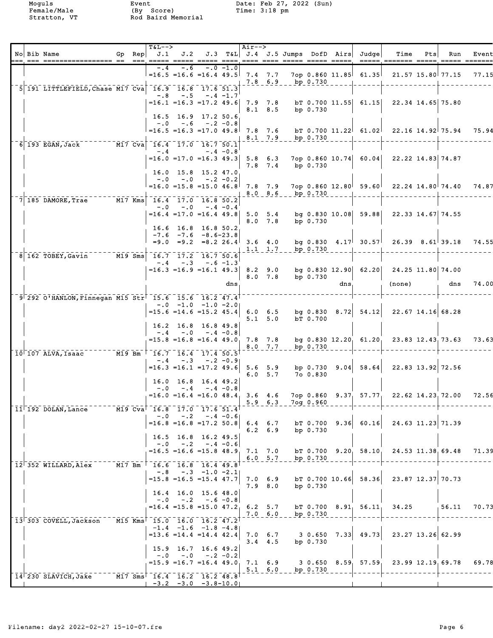|  | No Bib Name<br>it oor bebeerbeerbeerde as 'tet door doore beer beer door beer beer beer beer verde doore beerde beerd beerd b |  | $T&L-->$                                                                          |            |                                                                                        |             | Air--> |                                |                                      |            |      | Gp Rep $J.1$ $J.2$ $J.3$ T&L $J.4$ $J.5$ Jumps DofD Airs Judge | Time                                                                                    | Pts | Run               | Event |
|--|-------------------------------------------------------------------------------------------------------------------------------|--|-----------------------------------------------------------------------------------|------------|----------------------------------------------------------------------------------------|-------------|--------|--------------------------------|--------------------------------------|------------|------|----------------------------------------------------------------|-----------------------------------------------------------------------------------------|-----|-------------------|-------|
|  |                                                                                                                               |  | -.4<br>$\vert$ =16.5 =16.6 =16.4 49.5 7.4 7.7                                     | -.6        |                                                                                        | $-.0 - 1.0$ |        |                                | 7.8 6.9 bp 0.730                     |            |      |                                                                | 7op 0.860 11.85 61.35 21.57 15.80 77.15                                                 |     |                   | 77.15 |
|  | 5 191 LITTLEFIELD, Chase M17 Cva 16.9 16.8 17.6 51.3                                                                          |  | $-.8$                                                                             | $-1.5$     | $-.4 -1.7$                                                                             |             |        | $8.1 \t 8.5$                   |                                      | bp $0.730$ |      | $=16.1$ $=16.3$ $=17.2$ 49.6 7.9 7.8 bT 0.700 11.55 61.15      |                                                                                         |     | 22.34 14.65 75.80 |       |
|  |                                                                                                                               |  |                                                                                   |            | 16.5 16.9 17.2 50.6<br>$-.0$ $-.6$ $-.2$ $-0.8$                                        |             |        |                                |                                      |            |      |                                                                | $=16.5$ $=16.3$ $=17.0$ $49.8$ $7.8$ $7.6$ bT 0.700 $11.22$ $61.02$ 22.16 $14.92$ 75.94 |     |                   | 75.94 |
|  | 6 193 EGAN, Jack M17 Cva 16.4 17.0 16.7 50.1                                                                                  |  |                                                                                   | $-4$       |                                                                                        | $-.4 -0.8$  |        |                                | 8.1 7.9 bp 0.730                     |            |      |                                                                |                                                                                         |     |                   |       |
|  |                                                                                                                               |  |                                                                                   |            | $=16.0$ $=17.0$ $=16.3$ 49.3 5.8 6.3<br>16.0 15.8 15.2 47.0                            |             |        | $7.8$ $7.4$                    |                                      | bp 0.730   |      |                                                                | 7op 0.860 10.74 60.04 22.22 14.83 74.87                                                 |     |                   |       |
|  | $7\overline{)185}$ DAMORE, Trae $M17$ Kms $16.4$ $17.0$ $16.8$ 50.2                                                           |  | $-0.0$<br>$=16.0$ $=15.8$ $=15.0$ $46.8$ 7.8 7.9                                  |            | $-.0$ $-.2$ $-0.2$                                                                     |             |        |                                | 8.0 8.6 bp 0.730                     |            |      |                                                                | 7op 0.860 12.80 59.60 22.24 14.80 74.40                                                 |     |                   | 74.87 |
|  |                                                                                                                               |  |                                                                                   | $-.0 - .0$ | $-.4 - 0.4$<br>$=16.4$ $=17.0$ $=16.4$ 49.8 5.0 5.4                                    |             |        | $8.0$ 7.8                      |                                      | bp 0.730   |      |                                                                | bg 0.830 10.08 59.88 22.33 14.67 74.55                                                  |     |                   |       |
|  |                                                                                                                               |  |                                                                                   |            | 16.6 16.8 16.8 50.2<br>$-7.6$ $-7.6$ $-8.6$ -23.8<br>$=9.0$ $=9.2$ $=8.2$ 26.4 3.6 4.0 |             |        |                                |                                      |            |      |                                                                | bg 0.830 $4.17$ 30.57 26.39 8.61 39.18                                                  |     |                   | 74.55 |
|  | $\overline{8}$ 162 TOBEY, Gavin $\overline{10}$ M19 Sms                                                                       |  | $16.7$ $17.2$ $16.7$ $50.6$                                                       |            | $-.4 - .3 - .6 - 1.3$                                                                  |             |        |                                | 1.1 1.7 bp 0.730                     |            |      |                                                                |                                                                                         |     |                   |       |
|  |                                                                                                                               |  |                                                                                   |            |                                                                                        |             |        | $8.0$ $7.8$                    |                                      | bp $0.730$ |      |                                                                | $=16.3$ $=16.9$ $=16.1$ $49.3$ 8.2 9.0 bg 0.830 12.90 62.20 24.25 11.80 74.00           |     |                   | 74.00 |
|  | 9 292 O'HANLON, Finnegan M15 Str 15.6 15.6 16.2 47.4                                                                          |  |                                                                                   |            |                                                                                        | dns,        |        |                                |                                      |            | dns, |                                                                | (none)                                                                                  |     | dns               |       |
|  |                                                                                                                               |  |                                                                                   |            | $-.0$ $-1.0$ $-1.0$ $-2.0$<br>$=15.6$ $=14.6$ $=15.2$ $45.4$                           |             |        | $6.0 \t6.5$<br>$5.1 \quad 5.0$ |                                      | bT 0.700   |      |                                                                | bg $0.830$ $8.72$ $54.12$ $22.67$ $14.16$ 68.28                                         |     |                   |       |
|  |                                                                                                                               |  | $-0.4$                                                                            | $-0.0$     | $16.2$ 16.8 16.8 49.8<br>$-.4 - 0.8$<br>$=15.8$ $=16.8$ $=16.4$ $49.0$ 7.8 7.8         |             |        | 8.0 7.7                        |                                      | bp $0.730$ |      |                                                                | bg $0.830$ 12.20, $61.20$ , 23.83 12.43, 73.63                                          |     |                   | 73.63 |
|  | 10 107 ALVA, Isaac M19 Bm   16.7 16.4 17.4 50.5                                                                               |  |                                                                                   |            | $-.4 - .3 - .2 - 0.9$                                                                  |             |        |                                |                                      |            |      |                                                                |                                                                                         |     |                   |       |
|  |                                                                                                                               |  | $=16.3$ $=16.1$ $=17.2$ 49.6 5.6 5.9                                              |            | 16.0 16.8 16.4 49.2                                                                    |             |        | $6.0\quad 5.7$                 |                                      | 700.830    |      | bp $0.730$ $9.04$ $58.64$                                      |                                                                                         |     | 22.83 13.92 72.56 |       |
|  | 11 192 DOLAN, Lance M19 Cva 16.8 17.0 17.6 51.4                                                                               |  |                                                                                   |            | $-0$ $-4$ $-4$ $-0.8$                                                                  |             |        |                                | $5.9 - 6.3 - 709 - 0.960$            |            |      |                                                                | $=16.0$ $=16.4$ $=16.0$ $48.4$ 3.6 4.6 7op 0.860 9.37 57.77 22.62 14.23 72.00           |     |                   | 72.56 |
|  |                                                                                                                               |  | $-0.0$                                                                            | $-0.2$     | $-4$ $-0.6$<br>$=16.8$ $=16.8$ $=17.2$ 50.8                                            |             |        | $6.4 \t6.7$<br>$6.2 \quad 6.9$ |                                      | bp $0.730$ |      | $bT$ 0.700 9.36 60.16                                          |                                                                                         |     | 24.63 11.23 71.39 |       |
|  |                                                                                                                               |  | $-0.0$                                                                            |            | 16.5 16.8 16.2 49.5<br>$-.2 - .4 - 0.6$<br>$=16.5$ $=16.6$ $=15.8$ $48.9$              |             |        | 7.1 7.0                        |                                      |            |      | bT 0.700 9.20 58.10                                            |                                                                                         |     | 24.53 11.38 69.48 | 71.39 |
|  | $12^{\dagger}$ 352 WILLARD, Alex                                                                                              |  | M17 Bm 16.6 16.8 16.4 49.8                                                        |            | $-.8$ $-.3$ $-1.0$ $-2.11$                                                             |             |        | 6.0 5.7                        |                                      | bp $0.730$ |      |                                                                |                                                                                         |     |                   |       |
|  |                                                                                                                               |  | $=15.8$ $=16.5$ $=15.4$ 47.7                                                      |            | 16.4 16.0 15.6 48.0                                                                    |             |        | 7.0 6.9<br>7.9 8.0             |                                      | bp 0.730   |      | $bT$ 0.700 10.66 58.36                                         |                                                                                         |     | 23.87 12.37 70.73 |       |
|  | 13 303 COVELL, Jackson                                                                                                        |  | M15 Kms <sup>1</sup> 15.0 16.0 16.2 47.2                                          |            | $-.0$ $-.2$ $-.6$ $-0.8$<br>$=16.4$ $=15.8$ $=15.0$ $47.2$ 6.2 5.7                     |             |        | $7.0\quad 6.0$                 |                                      | bp 0.730   |      | $bT$ 0.700 8.91 56.11                                          | 34.25                                                                                   |     | 56.11             | 70.73 |
|  |                                                                                                                               |  |                                                                                   |            | $-1.4$ $-1.6$ $-1.8$ $-4.8$<br>$= 13.6 = 14.4 = 14.442.4$                              |             |        | $7.0 \t6.7$<br>$3.4$ 4.5       |                                      | bp $0.730$ |      | $3 \t0.650 \t7.33 \t49.73$                                     |                                                                                         |     | 23.27 13.26 62.99 |       |
|  |                                                                                                                               |  | $-0.0$                                                                            | $-0.0$     | 15.9 16.7 16.6 49.2<br>$-.2 - 0.2$<br>$=15.9$ =16.7 =16.4 49.0                         |             |        |                                |                                      |            |      |                                                                | 7.1 6.9 3 0.650 8.59 $57.59$ 23.99 12.19 69.78                                          |     |                   | 69.78 |
|  | 14 230 SLAVICH, Jake                                                                                                          |  | $\overline{M17}$ Sms $\overline{16.4}$ $\overline{16.2}$ $\overline{16.2}$ $48.8$ |            | $-3.2$ $-3.0$ $-3.8-10.0$                                                              |             |        |                                | $5.1\quad 6.0\quad \text{bp}\;0.730$ |            |      |                                                                |                                                                                         |     |                   |       |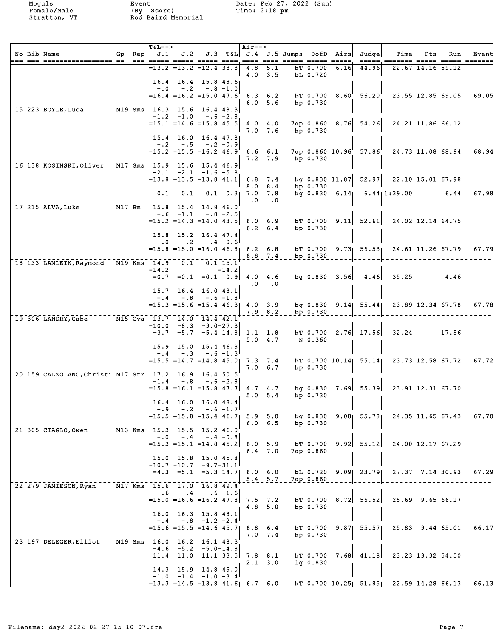|  | No Bib Name                                                           |  | $T&L--$<br>Gp $\text{Rep}$ J.1                        |                                                                      |                               |                       | Air-->    |                               |                    |                      |      | J.2 J.3 T&L J.4 J.5 Jumps DofD Airs Judge | Time<br><u> ----- ------- ----- ----- -----</u>                                          | Pts | Run                  | Event |
|--|-----------------------------------------------------------------------|--|-------------------------------------------------------|----------------------------------------------------------------------|-------------------------------|-----------------------|-----------|-------------------------------|--------------------|----------------------|------|-------------------------------------------|------------------------------------------------------------------------------------------|-----|----------------------|-------|
|  |                                                                       |  |                                                       | =13.2 =13.2 =12.4 38.8                                               |                               |                       | 4.8       | 5.1<br>$4.0$ 3.5              |                    | bT 0.700<br>bL 0.720 | 6.16 | 44.96                                     |                                                                                          |     | $22.67$ 14.16 59.12  |       |
|  |                                                                       |  | $-0.0$                                                | 16.4 16.4 15.8 48.6<br>$-2$                                          | $-.8 - 1.0$                   |                       |           |                               |                    |                      |      |                                           | $=16.4$ $=16.2$ $=15.0$ $47.6$ 6.3 6.2 bT 0.700 8.60 56.20 23.55 12.85 69.05             |     |                      | 69.05 |
|  | 15 223 BOYLE, Luca M19 Sms 16.3 15.6 16.4 48.3                        |  |                                                       |                                                                      |                               |                       |           |                               | 6.0 5.6 bp 0.730   |                      |      |                                           |                                                                                          |     |                      |       |
|  |                                                                       |  |                                                       | $-1.2 -1.0$<br>$=15.1$ $=14.6$ $=15.8$ $45.5$ $4.0$ $4.0$            | -.6 -2.8                      |                       |           |                               |                    |                      |      | $7$ op 0.860 8.76 54.26                   |                                                                                          |     | 24.21 11.86 66.12    |       |
|  |                                                                       |  |                                                       | 15.4 16.0 16.4 47.8<br>$-.2 \quad -.5 \quad -.2 \quad -0.9$          |                               |                       |           | $7.0$ $7.6$                   |                    | bp 0.730             |      |                                           |                                                                                          |     |                      |       |
|  |                                                                       |  |                                                       | $=15.2$ $=15.5$ $=16.2$ $46.9$ 6.6 6.1                               |                               |                       |           |                               | 7.2 7.9 bp 0.730   |                      |      | $7$ op 0.860 10.96' 57.86'                |                                                                                          |     | 24.73 11.08 68.94    | 68.94 |
|  | 16 138 KOSINSKI, Oliver M17 Sms 15.9 15.6 15.4 46.9                   |  |                                                       | $-2.1$ $-2.1$ $-1.6$ $-5.8$<br>$=13.8$ =13.5 =13.8 41.1              |                               |                       |           |                               |                    |                      |      |                                           | bq 0.830 11.87 $52.97$ 22.10 15.01 67.98                                                 |     |                      |       |
|  |                                                                       |  | 0.1                                                   |                                                                      | $0.1$ $0.1$ $0.3$ $7.0$ $7.8$ |                       | $6.8$ 7.4 | 8.0 8.4                       |                    | bp 0.730             |      |                                           | bq 0.830 $6.14$ $6.44$ 1:39.00 $\qquad$ 6.44 67.98                                       |     |                      |       |
|  | $17^{-1}$ 215 ALVA, Luke $17^{1}$ Bm <sup>+</sup> 15.8 15.4 14.8 46.0 |  |                                                       |                                                                      |                               |                       | $\pm 0$   | $\mathbf{1} \cdot \mathbf{0}$ |                    |                      |      |                                           |                                                                                          |     |                      |       |
|  |                                                                       |  |                                                       | $-.6 - 1.1$                                                          |                               | $-.8 - 2.5$           |           | $6.2 \t6.4$                   |                    | bp $0.730$           |      |                                           | $=15.2$ $=14.3$ $=14.0$ $43.5$ 6.0 6.9 bT 0.700 9.11 52.61 24.02 12.14 64.75             |     |                      |       |
|  |                                                                       |  | $-0.0$                                                | 15.8 15.2 16.4 47.4                                                  | $-.2 - .4 - 0.6$              |                       |           |                               |                    |                      |      |                                           |                                                                                          |     |                      |       |
|  |                                                                       |  |                                                       |                                                                      |                               |                       |           |                               | 6.8 7.4 bp 0.730   |                      |      |                                           | $=15.8$ $=15.0$ $=16.0$ $46.8$ 6.2 6.8 bT 0.700 9.73 56.53 24.61 11.26 67.79             |     |                      | 67.79 |
|  | $18'133$ LAMLEIN, Raymond M19 Kms <sup>+</sup> 14.9 0.1 <sup>-</sup>  |  | $-14.2$                                               | $=0.7$ $=0.1$ $=0.1$ 0.9                                             |                               | $0.1$ 15.1<br>$-14.2$ | 4.0 4.6   |                               |                    |                      |      |                                           | $bg \, 0.830 \, 3.56 \, 4.46 \, 35.25$                                                   |     | $\vert$ 4.46         |       |
|  |                                                                       |  |                                                       | 15.7 16.4 16.0 48.1                                                  |                               |                       |           | $\cdot 0 \qquad .0$           |                    |                      |      |                                           |                                                                                          |     |                      |       |
|  |                                                                       |  |                                                       | $-.4 - .8 - .6 - 1.8$<br>$= 15.3 = 15.6 = 15.4 46.3$ 4.0 3.9         |                               |                       |           |                               |                    |                      |      |                                           | bg $0.830$ $9.14$ $55.44$ $23.89$ $12.34$ 67.78                                          |     |                      | 67.78 |
|  | 19 306 LANDRY, Gabe ----- M15 Cva 13.7 14.0 14.4 42.1                 |  |                                                       | $-10.0 -8.3 -9.0-27.3$                                               |                               |                       |           | $7.9$ $8.2$                   |                    | bp $0.730$           |      |                                           |                                                                                          |     |                      |       |
|  |                                                                       |  |                                                       | $=3.7$ $=5.7$ $=5.4$ $14.8$ 1.1 1.8                                  |                               |                       |           | 5.0 4.7                       |                    | N 0.360              |      |                                           | $bT$ 0.700 2.76 17.56 32.24                                                              |     | 17.56                |       |
|  |                                                                       |  |                                                       | 15.9 15.0 15.4 46.3<br>$-.4-.3$                                      | $-.6 - 1.3$                   |                       |           |                               |                    |                      |      |                                           |                                                                                          |     |                      |       |
|  | 20 159 CALZOLANO, Christi M17 Str 17.2 16.9 16.4 50.5                 |  |                                                       | $=15.5$ $=14.7$ $=14.8$ $45.0$ 7.3 7.4                               |                               |                       |           | 7.0 6.7                       |                    | bp 0.730             |      |                                           | b T $0.700$ $10.14$ $55.14$ $23.73$ $12.58$ 67.72                                        |     |                      | 67.72 |
|  |                                                                       |  |                                                       | $-1.4 - .8 - .6 - 2.8$<br>$=15.8$ $=16.1$ $=15.8$ $47.7$ $4.7$ $4.7$ |                               |                       |           |                               |                    |                      |      |                                           |                                                                                          |     |                      |       |
|  |                                                                       |  |                                                       | 16.4 16.0 16.0 48.4                                                  |                               |                       |           | 5.0 5.4                       |                    | bp $0.730$           |      |                                           |                                                                                          |     |                      |       |
|  |                                                                       |  | $-9 -2 -6 -1.7$                                       |                                                                      |                               |                       |           |                               | 6.0 $6.5$ bp 0.730 |                      |      |                                           | $=15.5$ $=15.8$ $=15.4$ 46.7 5.9 5.0 bg 0.830 9.08 55.78 24.35 11.65 67.43               |     |                      | 67.70 |
|  | 21 305 CIAGLO, Owen                                                   |  | $\overline{M13}$ Kms <sup>+</sup> 15.3 15.5 15.2 46.0 | $-.0$ $-.4$ $-.4$ $-0.8$                                             |                               |                       |           |                               |                    |                      |      |                                           |                                                                                          |     |                      |       |
|  |                                                                       |  |                                                       | $=15.3$ $=15.1$ $=14.8$ $45.2$<br>15.0 15.8 15.0 45.8                |                               |                       |           | $6.0$ 5.9<br>$6.4$ 7.0        |                    | 7op 0.860            |      |                                           | bT $0.700$ $9.92$ $55.12$ $24.00$ $12.17$ 67.29                                          |     |                      |       |
|  |                                                                       |  | 1-10.7-10.7-9.7-31.1 <sup>1</sup>                     | $=4.3$ $=5.1$ $=5.3$ $14.7$ 6.0 6.0                                  |                               |                       |           |                               |                    |                      |      | bL 0.720 9.09 23.79                       |                                                                                          |     | $27.37$ $7.14$ 30.93 | 67.29 |
|  | 22 279 JAMIESON, Ryan                                                 |  | M17 Kms 15.6 17.0 16.8 49.4                           |                                                                      |                               |                       |           | $5.4$ 5.7                     |                    | 7op 0.860            |      |                                           |                                                                                          |     |                      |       |
|  |                                                                       |  |                                                       | $-.6 - .4 - .6 - 1.6$<br>$=15.0$ $=16.6$ $=16.2$ 47.8                |                               |                       |           | $7.5$ $7.2$<br>$4.8$ 5.0      |                    | bp $0.730$           |      | bT 0.700 8.72 56.52                       |                                                                                          |     | $25.69$ $9.65$ 66.17 |       |
|  |                                                                       |  |                                                       | 16.0 16.3 15.8 48.1<br>$-.4$ $-.8$ $-1.2$ $-2.4$                     |                               |                       |           |                               |                    |                      |      |                                           |                                                                                          |     |                      |       |
|  |                                                                       |  |                                                       | $= 15.6 = 15.5 = 14.645.7$ 6.8 6.4                                   |                               |                       |           | $7.0$ $7.4$                   |                    | bp $0.730$           |      |                                           | bT 0.700 9.87 55.57 25.83 9.44 65.01                                                     |     |                      | 66.17 |
|  | 23 197 DELEGER, Elliot M19 Sms 16.0 16.2 16.1 48.3                    |  |                                                       | $-4.6$ $-5.2$ $-5.0-14.8$<br>$=11.4$ $=11.0$ $=11.1$ 33.5            |                               |                       | 7.8 8.1   |                               |                    |                      |      |                                           | bt $0.700$ 7.68 41.18 23.23 13.32 54.50                                                  |     |                      |       |
|  |                                                                       |  |                                                       | 14.3 15.9 14.8 45.0                                                  |                               |                       |           | $2.1 \quad 3.0$               |                    | $1q$ 0.830           |      |                                           |                                                                                          |     |                      |       |
|  |                                                                       |  |                                                       | $-1.0$ $-1.4$ $-1.0$ $-3.4$                                          |                               |                       |           |                               |                    |                      |      |                                           | $=$ 13.3 $=$ 14.5 $=$ 13.8 41.6  6.7 6.0 bT 0.700 10.25  51.85  22.59 14.28  66.13 66.13 |     |                      |       |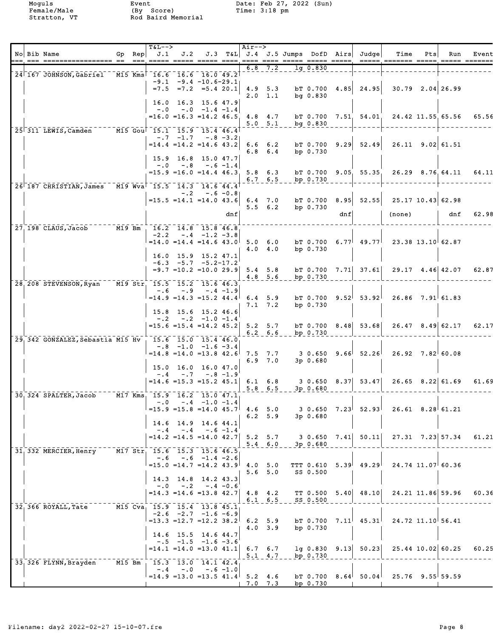|  | No Bib Name                                                                                                                     |          | Gp Rep<br>$= = =$ | $T&L-->$<br>J.1 | J.2                                                                              |             |             | Air--> |                                |                    |              |     | J.3 T&L J.4 J.5 Jumps DofD Airs Judge | Time<br>===== ======= =====                                                | Pts | Run<br>$\begin{array}{cccccc} \texttt{m} & \texttt{m} & \texttt{m} & \texttt{m} & \texttt{m} & \texttt{m} & \texttt{m} & \texttt{m} & \texttt{m} & \texttt{m} & \texttt{m} & \texttt{m} & \texttt{m} & \texttt{m} & \texttt{m} & \texttt{m} & \texttt{m} & \texttt{m} & \texttt{m} & \texttt{m} & \texttt{m} & \texttt{m} & \texttt{m} & \texttt{m} & \texttt{m} & \texttt{m} & \texttt{m} & \texttt{m} & \texttt{m} & \texttt{m} & \text$ | Event |
|--|---------------------------------------------------------------------------------------------------------------------------------|----------|-------------------|-----------------|----------------------------------------------------------------------------------|-------------|-------------|--------|--------------------------------|--------------------|--------------|-----|---------------------------------------|----------------------------------------------------------------------------|-----|--------------------------------------------------------------------------------------------------------------------------------------------------------------------------------------------------------------------------------------------------------------------------------------------------------------------------------------------------------------------------------------------------------------------------------------------|-------|
|  | 24 167 JOHNSON, Gabriel M15 Kms 16.6 16.6 16.0 49.2                                                                             |          |                   |                 |                                                                                  |             |             | 6.8    | 7.2                            |                    | $1q$ $0.830$ |     |                                       |                                                                            |     |                                                                                                                                                                                                                                                                                                                                                                                                                                            |       |
|  |                                                                                                                                 |          |                   |                 | $-9.1 - 9.4 - 10.6 - 29.1$<br>$=7.5$ $=7.2$ $=5.4$ 20.1                          |             |             |        | $4.9$ 5.3<br>$2.0 \t1.1$       |                    | $bq$ 0.830   |     | bT $0.700$ 4.85 24.95                 |                                                                            |     | $30.79$ 2.04 26.99                                                                                                                                                                                                                                                                                                                                                                                                                         |       |
|  |                                                                                                                                 |          |                   |                 | $16.0$ $16.3$ $15.6$ $47.9$<br>$-.0$ $-.0$ $-1.4$ $-1.4$                         |             |             |        |                                |                    |              |     |                                       |                                                                            |     |                                                                                                                                                                                                                                                                                                                                                                                                                                            |       |
|  |                                                                                                                                 |          |                   |                 | $=16.0$ $=16.3$ $=14.2$ $46.5$ $4.8$ $4.7$                                       |             |             |        | 5.0 5.1                        |                    | $bq$ 0.830   |     |                                       | b $T$ 0.700 7.51, 54.01, 24.42 11.55, 65.56                                |     |                                                                                                                                                                                                                                                                                                                                                                                                                                            | 65.56 |
|  | 25 311 LEWIS, Camden --- M15 Gou 15.1 15.9 15.4 46.4                                                                            |          |                   |                 | $-7$ $-1.7$ $-8$ $-3.2$<br>$=14.4$ $=14.2$ $=14.6$ $43.2$<br>15.9 16.8 15.0 47.7 |             |             |        | $6.6 \t6.2$<br>$6.8 \t6.4$     |                    | bp $0.730$   |     | $bT$ 0.700 9.29 52.49                 |                                                                            |     | $26.11$ 9.02 61.51                                                                                                                                                                                                                                                                                                                                                                                                                         |       |
|  |                                                                                                                                 |          |                   | $-0.0$          | $-0.8$<br>$=15.9$ $=16.0$ $=14.4$ 46.3                                           | $-.6 - 1.4$ |             |        | $5.8 \t6.3$<br>$6.7 \quad 6.5$ |                    | bp 0.730     |     |                                       | bT $0.700$ $9.05$ $55.35$ $26.29$ $8.76$ $64.11$                           |     |                                                                                                                                                                                                                                                                                                                                                                                                                                            | 64.11 |
|  | 26 187 CHRISTIAN, James M19 Wva 15.5 14.3 14.6 44.4                                                                             |          |                   |                 |                                                                                  |             |             |        |                                |                    |              |     |                                       |                                                                            |     |                                                                                                                                                                                                                                                                                                                                                                                                                                            |       |
|  |                                                                                                                                 |          |                   |                 | $-0.2$<br>$=15.5$ $=14.1$ $=14.0$ $43.6$ 6.4 7.0                                 |             | $-.6 - 0.8$ |        | $5.5 \t6.2$                    |                    | bp 0.730     |     | bT $0.700$ 8.95 52.55                 |                                                                            |     | 25.17 10.43 62.98<br>dnf                                                                                                                                                                                                                                                                                                                                                                                                                   | 62.98 |
|  |                                                                                                                                 |          |                   |                 |                                                                                  |             | dnf         |        |                                |                    |              | dnf |                                       | (none)                                                                     |     |                                                                                                                                                                                                                                                                                                                                                                                                                                            |       |
|  | 27, 198 CLAUS, Jacob M19 Bm                                                                                                     |          |                   |                 | 16.2 14.8 15.8 46.8<br>$-2.2 - .4 - 1.2 - 3.8$                                   |             |             |        |                                |                    |              |     |                                       |                                                                            |     |                                                                                                                                                                                                                                                                                                                                                                                                                                            |       |
|  |                                                                                                                                 |          |                   |                 | $=14.0$ $=14.4$ $=14.6$ $43.0$ 5.0 6.0<br>16.0 15.9 15.2 47.1                    |             |             |        | $4.0 \quad 4.0$                |                    | bp 0.730     |     |                                       | bt 0.700 6.77 49.77 23.38 13.10 62.87                                      |     |                                                                                                                                                                                                                                                                                                                                                                                                                                            |       |
|  |                                                                                                                                 |          |                   |                 | $-6.3 -5.7 -5.2 -17.2$<br>$= 9.7$ = 10.2 = 10.0 29.9 5.4 5.8                     |             |             |        | $4.8$ 5.6                      |                    | bp $0.730$   |     |                                       | b T 0.700 7.71 37.61 29.17 4.46 42.07 62.87                                |     |                                                                                                                                                                                                                                                                                                                                                                                                                                            |       |
|  | 28, 208 STEVENSON, Ryan M19 Str 15.5 15.2 15.6 46.3                                                                             |          |                   | $-.6$           | $-0.9$                                                                           |             | $-.4 -1.9$  |        |                                |                    |              |     |                                       |                                                                            |     |                                                                                                                                                                                                                                                                                                                                                                                                                                            |       |
|  |                                                                                                                                 |          |                   |                 | $=14.9$ $=14.3$ $=15.2$ $44.4$ 6.4 5.9                                           |             |             |        | $7.1$ $7.2$                    |                    | bp 0.730     |     | $bT$ 0.700 9.52 53.92                 |                                                                            |     | $26.86$ $7.91$ 61.83                                                                                                                                                                                                                                                                                                                                                                                                                       |       |
|  |                                                                                                                                 |          |                   |                 | 15.8 15.6 15.2 46.6<br>$-.2 - .2 -1.0 -1.4$                                      |             |             |        |                                |                    |              |     |                                       |                                                                            |     |                                                                                                                                                                                                                                                                                                                                                                                                                                            |       |
|  |                                                                                                                                 |          |                   |                 | $=15.6$ = 15.4 = 14.2 45.2 5.2 5.7                                               |             |             |        | $6.2\quad 6.6$                 |                    | bp 0.730     |     | $bT$ 0.700 8.48 53.68                 |                                                                            |     | $26.47$ $8.49$ 62.17                                                                                                                                                                                                                                                                                                                                                                                                                       | 62.17 |
|  | 29, 342 GONZALEZ, Sebastia M15 Hv 15.6 15.0 15.4 46.0                                                                           |          |                   |                 | $-.8$ $-1.0$ $-1.6$ $-3.4$                                                       |             |             |        |                                |                    |              |     |                                       |                                                                            |     |                                                                                                                                                                                                                                                                                                                                                                                                                                            |       |
|  |                                                                                                                                 |          |                   |                 |                                                                                  |             |             |        | $6.9$ $7.0$                    |                    | $3p$ 0.680   |     |                                       | $=14.8$ $=14.0$ $=13.8$ $42.6$ 7.5 7.7 3 0.650 9.66 52.26 26.92 7.82 60.08 |     |                                                                                                                                                                                                                                                                                                                                                                                                                                            |       |
|  |                                                                                                                                 |          |                   |                 | 15.0 16.0 16.0 47.0<br>$-.4-.7-.8-.1.9$                                          |             |             |        |                                |                    |              |     |                                       |                                                                            |     |                                                                                                                                                                                                                                                                                                                                                                                                                                            |       |
|  |                                                                                                                                 |          |                   |                 | $=14.6$ = 15.3 = 15.2 45.1 6.1 6.8                                               |             |             |        | $5.8 \t6.5$                    |                    | 3p 0.680     |     | $3 \t0.650 \t8.37$ 53.47              |                                                                            |     | $26.65$ $8.22$ 61.69                                                                                                                                                                                                                                                                                                                                                                                                                       | 61.69 |
|  | $30\overline{)324}$ SPALTER, Jacob $\overline{M17}$ Kms $\overline{15.9}$ $\overline{16.2}$ $\overline{15.0}$ $\overline{47.1}$ |          |                   |                 | $-.0 - .4 -1.0 -1.4$                                                             |             |             |        |                                |                    |              |     |                                       |                                                                            |     |                                                                                                                                                                                                                                                                                                                                                                                                                                            |       |
|  |                                                                                                                                 |          |                   |                 | $=15.9$ $=15.8$ $=14.0$ $45.7$ 4.6 5.0                                           |             |             |        | 6.2 5.9                        |                    | 3p 0.680     |     |                                       | $3\,$ 0.650 $\,$ 7.23 $\,$ 52.93 $\,$ 26.61 $\,$ 8.28 $61.21$              |     |                                                                                                                                                                                                                                                                                                                                                                                                                                            |       |
|  |                                                                                                                                 |          |                   |                 | 14.6 14.9 14.6 44.1<br>$-.4-.4-.6-.1.4$                                          |             |             |        |                                |                    |              |     |                                       |                                                                            |     |                                                                                                                                                                                                                                                                                                                                                                                                                                            |       |
|  |                                                                                                                                 |          |                   |                 | $=14.2$ $=14.5$ $=14.0$ $42.7$ 5.2 5.7                                           |             |             |        |                                | $5.4$ 6.0 3p 0.680 |              |     | 3 0.650 7.41 50.11                    |                                                                            |     | $27.31$ $7.23$ 57.34                                                                                                                                                                                                                                                                                                                                                                                                                       | 61.21 |
|  | 31, 332 MERCIER, Henry M17 Str. 15.6 15.3 15.6 46.5                                                                             |          |                   |                 | $-.6 - .6 - 1.4 - 2.6$                                                           |             |             |        |                                |                    |              |     |                                       |                                                                            |     |                                                                                                                                                                                                                                                                                                                                                                                                                                            |       |
|  |                                                                                                                                 |          |                   |                 | $=15.0$ $=14.7$ $=14.2$ $43.9$ $4.0$ 5.0                                         |             |             |        | $5.6$ $5.0$                    |                    | SS 0.500     |     |                                       | TTT $0.610$ $5.39$ $49.29$ $24.74$ $11.07$ 60.36                           |     |                                                                                                                                                                                                                                                                                                                                                                                                                                            |       |
|  |                                                                                                                                 |          |                   |                 | $14.3$ $14.8$ $14.2$ $43.3$                                                      |             |             |        |                                |                    |              |     |                                       |                                                                            |     |                                                                                                                                                                                                                                                                                                                                                                                                                                            |       |
|  |                                                                                                                                 |          |                   |                 | $-.0$ $-.2$ $-.4$ $-0.6$<br>$= 14.3$ $= 14.6$ $= 13.8$ 42.7 4.8 4.2              |             |             |        |                                |                    |              |     |                                       | TT $0.500$ $5.40$ $48.10$ $24.21$ $11.86$ 59.96                            |     |                                                                                                                                                                                                                                                                                                                                                                                                                                            | 60.36 |
|  | 32, 366 ROYALL, Tate M15 Cva, 15.9 15.4 13.8 45.1                                                                               |          |                   |                 |                                                                                  |             |             |        |                                | 6.1 6.5 SS 0.500   |              |     |                                       |                                                                            |     |                                                                                                                                                                                                                                                                                                                                                                                                                                            |       |
|  |                                                                                                                                 |          |                   |                 | $-2.6$ $-2.7$ $-1.6$ $-6.9$<br>$=13.3$ $=12.7$ $=12.2$ $38.2$ 6.2 5.9            |             |             |        |                                |                    |              |     |                                       | b $0.700$ $7.11$ <sup><math>45.31</math></sup> $24.72$ $11.10$ $56.41$     |     |                                                                                                                                                                                                                                                                                                                                                                                                                                            |       |
|  |                                                                                                                                 |          |                   |                 | 14.6 15.5 14.6 44.7                                                              |             |             |        | $4.0$ $3.9$                    |                    | bp 0.730     |     |                                       |                                                                            |     |                                                                                                                                                                                                                                                                                                                                                                                                                                            |       |
|  |                                                                                                                                 |          |                   |                 | $-5$ $-1.5$ $-1.6$ $-3.6$<br>$=14.1$ $=14.0$ $=13.0$ $41.1$ 6.7 6.7              |             |             |        |                                |                    |              |     | $lg$ 0.830 9.13 50.23                 |                                                                            |     | 25.44 10.02 60.25                                                                                                                                                                                                                                                                                                                                                                                                                          | 60.25 |
|  | 33, 326 FLYNN, Brayden                                                                                                          | $M15$ Bm |                   |                 | $15.3$ $13.0$ $14.1$ $42.4$                                                      |             |             |        | $5.1 \quad 4.7$                |                    | bp 0.730     |     |                                       |                                                                            |     |                                                                                                                                                                                                                                                                                                                                                                                                                                            |       |
|  |                                                                                                                                 |          |                   |                 | $-.4 - .0 - .6 - 1.0$<br>$=14.9$ = 13.0 = 13.5 41.4 5.2 4.6                      |             |             |        |                                |                    |              |     | $bT$ 0.700 8.64 50.04                 |                                                                            |     | $25.76$ 9.55 59.59                                                                                                                                                                                                                                                                                                                                                                                                                         |       |
|  |                                                                                                                                 |          |                   |                 |                                                                                  |             |             |        | $7.0$ $7.3$                    |                    | bp 0.730     |     |                                       |                                                                            |     |                                                                                                                                                                                                                                                                                                                                                                                                                                            |       |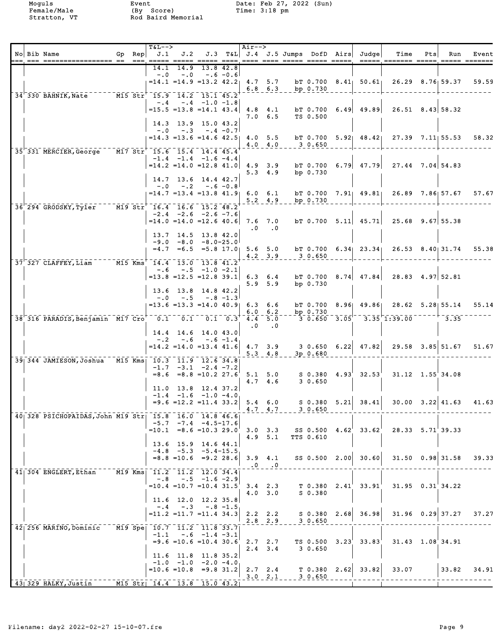|  | No Bib Name<br>ite een poolookstekteerd de 'tee beken beerd ooks heer deen beken beken beken ookse bekende beken beken bekend                                                  | Gp Rep | $T&L-->$                        | J.1                                                                   |                               |             | $\vert$ Air--> |                        |                 |                       | J.2 J.3 T&L J.4 J.5 Jumps DofD Airs Judge                           | Time                                                                            | Pts | Run                      | Event |
|--|--------------------------------------------------------------------------------------------------------------------------------------------------------------------------------|--------|---------------------------------|-----------------------------------------------------------------------|-------------------------------|-------------|----------------|------------------------|-----------------|-----------------------|---------------------------------------------------------------------|---------------------------------------------------------------------------------|-----|--------------------------|-------|
|  |                                                                                                                                                                                |        | 14.1<br>$-0.0$                  | $-0.0$                                                                | 14.9 13.8 42.8<br>$-.6 - 0.6$ |             |                |                        |                 |                       |                                                                     |                                                                                 |     |                          |       |
|  |                                                                                                                                                                                |        |                                 | $=14.1$ $=14.9$ $=13.2$ $42.2$ $4.7$ $5.7$                            |                               |             |                | $6.8 \t6.3$            |                 | bp $0.730$            |                                                                     | bT 0.700 $8.41$ $50.61$ $26.29$ $8.76$ $59.37$                                  |     |                          | 59.59 |
|  | 34 330 BAHNIK, Nate 15.5 Str <sup>+</sup> 15.9 14.2 15.1 45.2                                                                                                                  |        |                                 | $-.4$ $-.4$ $-1.0$ $-1.8$                                             |                               |             |                |                        |                 |                       |                                                                     |                                                                                 |     |                          |       |
|  |                                                                                                                                                                                |        |                                 | $=15.5$ $=13.8$ $=14.1$ $43.4$ $4.8$ $4.1$                            |                               |             |                | $7.0\quad 6.5$         |                 | TS 0.500              | $bT$ 0.700 6.49 49.89                                               | $26.51$ $8.43$ 58.32                                                            |     |                          |       |
|  |                                                                                                                                                                                |        |                                 | 14.3 13.9 15.0 43.2<br>$-.0$ $-.3$ $-.4$ $-0.7$                       |                               |             |                |                        |                 |                       |                                                                     |                                                                                 |     |                          |       |
|  | 35 331 MERCIER, George M17 Str 15.6 15.4 14.4 45.4                                                                                                                             |        |                                 | $= 14.3$ $= 13.6$ $= 14.6$ $42.5$ $4.0$ 5.5                           |                               |             |                |                        | 4.0 4.0 3 0.650 |                       |                                                                     | b T $0.700$ 5.92 48.42 27.39 7.11 55.53                                         |     |                          | 58.32 |
|  |                                                                                                                                                                                |        |                                 | $-1.4$ $-1.4$ $-1.6$ $-4.4$                                           |                               |             |                |                        |                 |                       |                                                                     | $=14.2$ $=14.0$ $=12.8$ $41.0$ $4.9$ $3.9$ bT 0.700 6.79 47.79 27.44 7.04 54.83 |     |                          |       |
|  |                                                                                                                                                                                |        |                                 | 14.7 13.6 14.4 42.7                                                   |                               |             |                | $5.3 \quad 4.9$        |                 | bp $0.730$            |                                                                     |                                                                                 |     |                          |       |
|  |                                                                                                                                                                                |        |                                 | $-.0$ $-.2$ $-.6$ $-0.8$<br>$=14.7$ $=13.4$ $=13.8$ $41.9$ 6.0 6.1    |                               |             |                |                        |                 |                       |                                                                     | bT 0.700 7.91 49.81 26.89 7.86 57.67 57.67                                      |     |                          |       |
|  | 36 294 GRODSKY, Tyler M19 Str 16.4 16.6 15.2 48.2                                                                                                                              |        |                                 |                                                                       |                               |             |                | $5.2 \quad 4.9$        |                 | bp 0.730              |                                                                     |                                                                                 |     |                          |       |
|  |                                                                                                                                                                                |        |                                 | $-2.4$ $-2.6$ $-2.6$ $-7.6$<br>$=14.0$ $=14.0$ $=12.6$ $40.6$ 7.6 7.0 |                               |             |                |                        |                 |                       | $bT$ 0.700 5.11 45.71                                               | $25.68$ 9.67 55.38                                                              |     |                          |       |
|  |                                                                                                                                                                                |        |                                 | 13.7 14.5 13.8 42.0                                                   |                               |             |                | $.0 \qquad .0$         |                 |                       |                                                                     |                                                                                 |     |                          |       |
|  |                                                                                                                                                                                |        |                                 | $-9.0 -8.0 -8.0 -25.0$                                                |                               |             |                |                        |                 |                       |                                                                     | $=4.7$ $=6.5$ $=5.8$ 17.0 5.6 5.0 bT 0.700 6.34 23.34 26.53 8.40 31.74          |     |                          | 55.38 |
|  | 37 327 CLAFFEY, Liam M15 Kms 14.4 13.0 13.8 41.2                                                                                                                               |        |                                 |                                                                       |                               |             |                |                        | 4.2 3.9 3 0.650 |                       |                                                                     |                                                                                 |     |                          |       |
|  |                                                                                                                                                                                |        |                                 | $-.6 - .5 - 1.0 - 2.1$                                                |                               |             |                |                        |                 |                       |                                                                     | $=13.8$ $=12.5$ $=12.8$ 39.1 6.3 6.4 bT 0.700 8.74 47.84 28.83 4.97 52.81       |     |                          |       |
|  |                                                                                                                                                                                |        |                                 | 13.6 13.8 14.8 42.2<br>$-.0$ $-.5$ $-.8$ $-1.3$                       |                               |             |                | $5.9$ $5.9$            |                 | bp $0.730$            |                                                                     |                                                                                 |     |                          |       |
|  |                                                                                                                                                                                |        |                                 | $= 13.6 = 13.3 = 14.0 40.9$ 6.3 6.6                                   |                               |             |                | $6.0 \t6.2$            |                 | $  \mathbf{bp}$ 0.730 |                                                                     | bT 0.700 8.96 49.86 28.62 5.28 55.14                                            |     |                          | 55.14 |
|  | 38 316 PARADIS, Benjamin MI7 Cro <sup>--</sup> 0.1 <sup>--0</sup> .1 <sup>--</sup> 0.1 <sup>--</sup> 0.1 <sup>--</sup> 0.1 <sup>--</sup> 0.3 <sup>+</sup> 4.4 <sup>-5</sup> .0 |        |                                 |                                                                       |                               |             | $\cdot$ 0      | $\cdot$ 0              |                 |                       |                                                                     | $-3$ $0.650$ $-3.05$ $ 3.35$ $1.39.00$ $   +$ $ 3.35$                           |     |                          |       |
|  |                                                                                                                                                                                |        | $- 0.2$                         | $14.4$ 14.6 14.0 43.0<br>$-0.6$                                       |                               | $-.6 - 1.4$ |                |                        |                 |                       |                                                                     |                                                                                 |     |                          |       |
|  |                                                                                                                                                                                |        |                                 |                                                                       |                               |             |                | $5.3 \quad 4.8$        |                 | 3p0.680               | $=14.2$ $=14.0$ $=13.4$ $41.6$ $4.7$ $3.9$ $3.0.650$ $6.22$ $47.82$ |                                                                                 |     | $29.58$ $3.85$ $51.67$   | 51.67 |
|  | 39 344 JAMIESON, Joshua M15 Kms 10.3 11.9 12.6 34.8                                                                                                                            |        |                                 | $-1.7$ $-3.1$ $-2.4$ $-7.2$                                           |                               |             |                |                        |                 |                       |                                                                     |                                                                                 |     |                          |       |
|  |                                                                                                                                                                                |        |                                 | $=8.6$ $=8.8$ $=10.2$ 27.6 5.1 5.0                                    |                               |             |                | $4.7 \quad 4.6$        |                 | 3 0.650               | $S$ 0.380 $4.93^{\circ}$ 32.53 $^{\circ}$                           |                                                                                 |     | $31.12 \quad 1.55$ 34.08 |       |
|  |                                                                                                                                                                                |        |                                 | $11.0$ 13.8 12.4 37.2<br>$-1.4$ $-1.6$ $-1.0$ $-4.0$                  |                               |             |                |                        |                 |                       |                                                                     |                                                                                 |     |                          |       |
|  |                                                                                                                                                                                |        |                                 |                                                                       |                               |             |                | $4.7 \quad 4.7$        |                 | 30.650                |                                                                     | $=9.6$ =12.2 =11.4 33.2 5.4 6.0 s 0.380 5.21 38.41 30.00 3.22 41.63             |     |                          | 41.63 |
|  | 40 328 PSICHOPAIDAS, John M19 Str 15.8 16.0 14.8 46.6                                                                                                                          |        |                                 | $-5.7$ $-7.4$ $-4.5-17.6$<br>$=10.1$ $=8.6$ $=10.3$ 29.0              |                               |             |                |                        |                 |                       | $SS$ 0.500 $4.62^{\degree}$ 33.62                                   |                                                                                 |     | 28.33 5.71 39.33         |       |
|  |                                                                                                                                                                                |        |                                 | 13.6 15.9 14.6 44.1                                                   |                               |             |                | $3.0 \t3.3$<br>4.9 5.1 |                 | TTS 0.610             |                                                                     |                                                                                 |     |                          |       |
|  |                                                                                                                                                                                |        |                                 | $-4.8$ $-5.3$ $-5.4-15.5$<br>$=8.8$ = 10.6 = 9.2 28.6                 |                               |             |                | $3.9$ 4.1              |                 |                       | SS 0.500 2.00 30.60                                                 |                                                                                 |     | $31.50 \quad 0.98$ 31.58 | 39.33 |
|  | 41 304 ENGLERT, Ethan                                                                                                                                                          |        | M19 Kms  11.2  11.2  12.0  34.4 |                                                                       |                               |             |                | $.0 \qquad .0$         |                 |                       |                                                                     |                                                                                 |     |                          |       |
|  |                                                                                                                                                                                |        | $-.8$                           | $=10.4$ $=10.7$ $=10.4$ 31.5                                          | $-.5$ $-1.6$ $-2.9$           |             |                | $3.4$ 2.3              |                 |                       | T 0.380 2.41 33.91                                                  |                                                                                 |     | $31.95$ $0.31$ $34.22$   |       |
|  |                                                                                                                                                                                |        |                                 | $11.6$ 12.0                                                           | 12.2 35.8                     |             |                | 4.0 3.0                |                 | S 0.380               |                                                                     |                                                                                 |     |                          |       |
|  |                                                                                                                                                                                |        | $-0.4$                          | $-.3$<br>$=11.2$ $=11.7$ $=11.4$ 34.3                                 |                               | $-.8 - 1.5$ |                | $2.2$ 2.2              |                 |                       | $S$ 0.380 2.68 36.98                                                |                                                                                 |     | $31.96$ 0.29 37.27       | 37.27 |
|  | 42  256 MARINO, Dominic                                                                                                                                                        |        | M19 Spe  10.7  11.2  11.8  33.7 |                                                                       |                               |             |                | $2.8$ 2.9              |                 | 3 0.650               |                                                                     |                                                                                 |     |                          |       |
|  |                                                                                                                                                                                |        | $-1.1$                          | $=9.6$ $=10.6$ $=10.4$ 30.6                                           | $-.6 -1.4 -3.1$               |             |                | 2.72.7                 |                 |                       | TS 0.500 3.23 33.83                                                 |                                                                                 |     | 31.43 1.08 34.91         |       |
|  |                                                                                                                                                                                |        |                                 | $11.6$ $11.8$ $11.8$ $35.2$                                           |                               |             |                | $2.4$ 3.4              |                 | 3 0.650               |                                                                     |                                                                                 |     |                          |       |
|  |                                                                                                                                                                                |        |                                 | $-1.0$ $-1.0$ $-2.0$ $-4.0$<br>$=10.6$ $=10.8$ $=9.8$ 31.2            |                               |             |                | 2.7 2.4<br>$3.0$ $2.1$ |                 | 30.650                | $T$ 0.380 2.62 33.82                                                | 33.07                                                                           |     | 33.82                    | 34.91 |
|  | 43 329 HALKY, Justin                                                                                                                                                           |        | M15 Str  14.4 13.8 15.0 43.2    |                                                                       |                               |             |                |                        |                 |                       |                                                                     |                                                                                 |     |                          |       |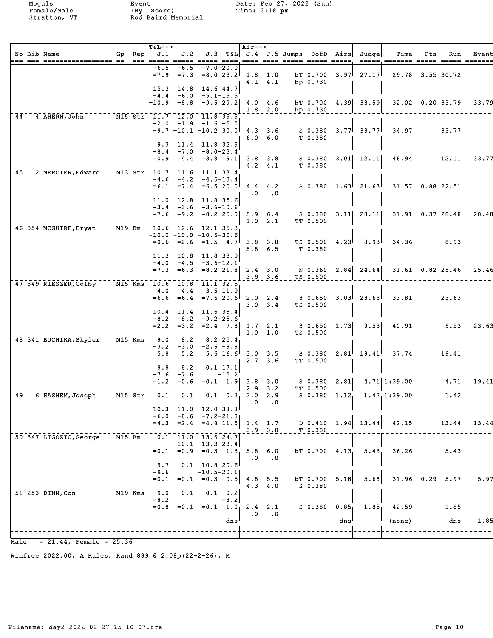Moguls Event Date: Feb 27, 2022 (Sun)<br>
Female/Male (By Score) Time: 3:18 pm

|      | No Bib Name                                       | Gp Rep     | $T&L-->$          |                                                    |                                             |               | Air-->             |                            |                          |                                                               |      | $J.1$ $J.2$ $J.3$ $T\&L$ $J.4$ $J.5$ Jumps DofD Airs Judge | Time                                                                        | Pts | Run                      | Event       |
|------|---------------------------------------------------|------------|-------------------|----------------------------------------------------|---------------------------------------------|---------------|--------------------|----------------------------|--------------------------|---------------------------------------------------------------|------|------------------------------------------------------------|-----------------------------------------------------------------------------|-----|--------------------------|-------------|
|      |                                                   |            | $-6.5$            | $-6.5$                                             |                                             | $-7.0 - 20.0$ |                    |                            |                          |                                                               |      |                                                            | ===== ======= ===== ===== ======                                            |     |                          |             |
|      |                                                   |            |                   | $=7.9$ $=7.3$ $=8.0$ $23.2$ 1.8 1.0                |                                             |               |                    | $4.1 \quad 4.1$            |                          | bp 0.730                                                      |      | $bT$ 0.700 3.97 27.17                                      | $29.78$ $3.55$ 30.72                                                        |     |                          |             |
|      |                                                   |            |                   | $15.3$ 14.8<br>$-4.4 -6.0 -5.1 -15.5$              |                                             | 14.6 44.7     |                    |                            |                          |                                                               |      |                                                            |                                                                             |     |                          |             |
|      |                                                   |            |                   | $=10.9$ $=8.8$ $=9.5$ 29.2 4.0 4.6                 |                                             |               |                    |                            |                          |                                                               |      | bT 0.700 4.39 33.59                                        |                                                                             |     | $32.02 \quad 0.20$ 33.79 | 33.79       |
| 44.  | 4 AHERN, John M15 Str. 11.7 12.0 11.8 35.5        |            |                   |                                                    |                                             |               |                    |                            | $1.8$ 2.0 bp 0.730       |                                                               |      |                                                            |                                                                             |     |                          |             |
|      |                                                   |            |                   | $-2.0$ $-1.9$ $-1.6$ $-5.5$                        |                                             |               |                    |                            |                          |                                                               |      |                                                            | $=9.7$ $=10.1$ $=10.2$ 30.0 4.3 3.6 S 0.380 3.77 33.77 34.97                |     | $\sqrt{33.77}$           |             |
|      |                                                   |            |                   |                                                    |                                             |               |                    |                            | 6.0 6.0 T 0.380          |                                                               |      |                                                            |                                                                             |     |                          |             |
|      |                                                   |            |                   | 9.3 11.4 11.8 32.5<br>$-8.4$ $-7.0$ $-8.0$ $-23.4$ |                                             |               |                    |                            |                          |                                                               |      |                                                            |                                                                             |     |                          |             |
|      |                                                   |            |                   |                                                    |                                             |               |                    |                            | $4.2$ $4.1$ $T$ 0.380    |                                                               |      | $=0.9$ $=4.4$ $=3.8$ $9.1$ 3.8 3.8 S 0.380 3.01 12.11      | 46.94                                                                       |     | $\vert$ 12.11            | 33.77       |
| 45.  | 2 MERCIER, Edward M13 Str. 10.7 11.6 11.1 33.4    |            |                   | $-4.6$ $-4.2$ $-4.6$ -13.4                         |                                             |               |                    |                            |                          |                                                               |      |                                                            |                                                                             |     |                          |             |
|      |                                                   |            |                   |                                                    |                                             |               |                    |                            |                          |                                                               |      | $=6.1$ $=7.4$ $=6.5$ 20.0 4.4 4.2 S 0.380 1.63 21.63       | $31.57$ 0.88 22.51                                                          |     |                          |             |
|      |                                                   |            |                   | 11.0 12.8 11.8 35.6                                |                                             |               | $\cdot$ 0          | $\cdot$ .0                 |                          |                                                               |      |                                                            |                                                                             |     |                          |             |
|      |                                                   |            |                   | $-3.4$ $-3.6$ $-3.6$ -10.6                         |                                             |               |                    |                            |                          |                                                               |      | $=7.6$ $=9.2$ $=8.2$ $25.0$ 5.9 6.4 S 0.380 3.11 28.11     |                                                                             |     | $31.91 \quad 0.37$ 28.48 | 28.48       |
|      | 46, 354 MCGUIRE, Bryan M19 Bm                     |            |                   | 10.6 12.6 12.1 35.3                                |                                             |               |                    |                            | $1.0$ $2.1$ TT $0.500$   |                                                               |      |                                                            |                                                                             |     |                          |             |
|      |                                                   |            |                   | $-10.0 - 10.0 - 10.6 - 30.6$                       |                                             |               |                    |                            |                          |                                                               |      |                                                            |                                                                             |     |                          |             |
|      |                                                   |            |                   |                                                    |                                             |               |                    | $5.8 \t6.5$                |                          | $=0.6$ $=2.6$ $=1.5$ $4.7$ 3.8 3.8 TS 0.500 $4.23$<br>T 0.380 |      | 8.93                                                       | 34.36                                                                       |     | 8.93                     |             |
|      |                                                   |            |                   | 11.3 10.8 11.8 33.9<br>$-4.0 -4.5 -3.6-12.1$       |                                             |               |                    |                            |                          |                                                               |      |                                                            |                                                                             |     |                          |             |
|      |                                                   |            |                   |                                                    |                                             |               |                    | $3.9$ $3.6$                |                          | TS 0.500                                                      |      |                                                            | $=7.3$ $=6.3$ $=8.2$ 21.8 2.4 3.0 N 0.360 2.84 24.64 31.61 0.82 25.46 25.46 |     |                          |             |
|      | 47 349 RIESZER, Colby M15 Kms 10.6 10.8 11.1 32.5 |            |                   |                                                    |                                             |               |                    |                            |                          |                                                               |      |                                                            |                                                                             |     |                          |             |
|      |                                                   |            |                   | $-4.0 -4.4 -3.5-11.9$                              |                                             |               |                    |                            |                          |                                                               |      | $=6.6$ $=6.4$ $=7.6$ 20.6 2.0 2.4 3 0.650 3.03 23.63       | 33.81                                                                       |     | 123.63                   |             |
|      |                                                   |            |                   | 10.4 11.4 11.6 33.4                                |                                             |               |                    | $3.0 \quad 3.4$            |                          | TS 0.500                                                      |      |                                                            |                                                                             |     |                          |             |
|      |                                                   |            |                   | $-8.2 - 8.2 - 9.2 - 25.6$                          |                                             |               |                    |                            |                          |                                                               |      | 9.53                                                       |                                                                             |     | 9.53                     |             |
|      |                                                   |            |                   |                                                    |                                             |               |                    | $1.0 \t1.0$                |                          | $=2.2$ $=3.2$ $=2.4$ $7.8$ 1.7 2.1 3 0.650 1.73<br>TS 0.500   |      |                                                            | 40.91                                                                       |     |                          | 23.63       |
|      | 48 341 BUCHIKA, Skyler                            | $-M15$ Kms | $-5.0$            | 8.2<br>$-3.2$ $-3.0$ $-2.6$ $-8.8$                 | $8.2$ 25.4                                  |               |                    |                            |                          |                                                               |      |                                                            |                                                                             |     |                          |             |
|      |                                                   |            | $= 5.8$           | $= 5.2$                                            |                                             |               |                    | $2.7 \quad 3.6$            |                          | TT 0.500                                                      |      |                                                            | $=5.6$ 16.6 3.0 3.5 S 0.380 2.81 19.41 37.74                                |     | 19.41                    |             |
|      |                                                   |            | 8.8               | 8.2                                                |                                             | 0.1 17.1      |                    |                            |                          |                                                               |      |                                                            |                                                                             |     |                          |             |
|      |                                                   |            | $=1.2$            | $-7.6 - 7.6$<br>$= 0.6$                            |                                             | $-15.2$       | $=0.1$ 1.9 3.8 3.0 |                            |                          |                                                               |      |                                                            | $S$ 0.380 2.81 4.71 1:39.00                                                 |     | 4.71                     | 19.41       |
| 49.  | 6 HASHEM, Joseph M15 Str 0.1 0.1 0.1 0.3 3.0 2.9  |            |                   |                                                    |                                             |               |                    |                            | $2.9 - 3.2$ $-$ TT 0.500 |                                                               |      |                                                            | $S$ 0.380 1.12 1.42 1:39.00                                                 |     | 1.42                     |             |
|      |                                                   |            |                   | $10.3$ 11.0 12.0 33.3                              |                                             |               | $\cdot$ 0          | $\cdot$ 0                  |                          |                                                               |      |                                                            |                                                                             |     |                          |             |
|      |                                                   |            |                   | $-6.0 -8.6 -7.2-21.8$                              |                                             |               |                    |                            |                          |                                                               |      |                                                            |                                                                             |     |                          |             |
|      |                                                   |            |                   | $=4.3$ $=2.4$ $=4.8$ 11.5                          |                                             |               |                    | $1.4 \quad 1.7$<br>3.9 3.0 |                          | T 0.380                                                       |      | $D$ 0.410 1.94 13.44                                       | 42.15                                                                       |     |                          | 13.44 13.44 |
|      | 50 347 LIGOZIO, George                            | $M15$ Bm   |                   | $-0.1 - 11.0 - 13.6 24.7$<br>$-10.1 -13.3 -23.4$   |                                             |               |                    |                            |                          |                                                               |      |                                                            |                                                                             |     |                          |             |
|      |                                                   |            |                   | $=0.1$ $=0.9$ $=0.3$ $1.3$                         |                                             |               | $\cdot$ 0          | $5.8 \t6.0$<br>$\cdot$ 0   |                          | $bT$ 0.700 4.13                                               |      | 5.43                                                       | 36.26                                                                       |     | 5.43                     |             |
|      |                                                   |            | 9.7               |                                                    | $0.1$ 10.8 20.6                             |               |                    |                            |                          |                                                               |      |                                                            |                                                                             |     |                          |             |
|      |                                                   |            | $-9.6$<br>$= 0.1$ |                                                    | $-10.5 - 20.1$<br>$=0.1$ $=0.3$ 0.5 4.8 5.5 |               |                    |                            |                          | bT 0.700                                                      | 5.18 | 5.68                                                       | $31.96$ 0.29                                                                |     | 5.97                     | 5.97        |
|      | $51$ <sup>253</sup> DINN, Con                     | M19 Kms    | $-9.0$            | 0.1                                                |                                             | $0.1$ 9.2     |                    | $4.3 \quad 4.0$            |                          | S 0.380                                                       |      |                                                            |                                                                             |     |                          |             |
|      |                                                   |            | $-8.2$            | $=0.8$ $=0.1$ $=0.1$ $1.0$ $2.4$ $2.1$             |                                             | $-8.2$        |                    |                            |                          | $S$ 0.380 0.85                                                |      | 1.85 <sub>1</sub>                                          | 42.59                                                                       |     | 1.85                     |             |
|      |                                                   |            |                   |                                                    |                                             |               | $\cdot$ 0          | $\cdot$ .0                 |                          |                                                               |      |                                                            |                                                                             |     |                          |             |
|      |                                                   |            |                   |                                                    |                                             | dns           |                    |                            |                          |                                                               | dns  |                                                            | (none)                                                                      |     | dns                      | 1.85        |
| Male | $= 21.44$ , Female = 25.36                        |            |                   |                                                    |                                             |               |                    |                            |                          |                                                               |      |                                                            |                                                                             |     |                          |             |

Winfree 2022.00, A Rules, Rand=889 @ 2:08p(22-2-26), M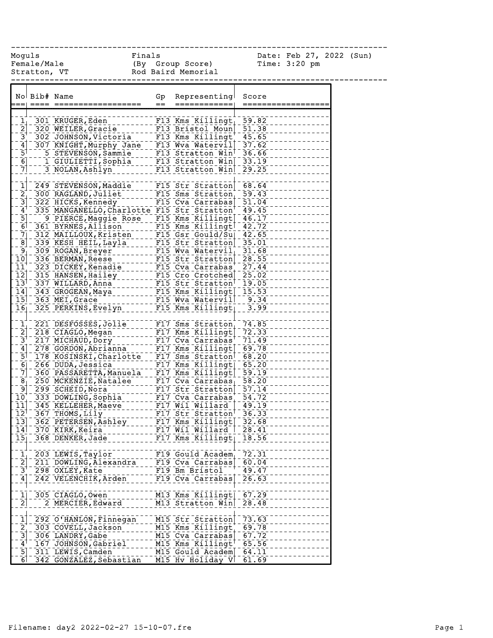------------------------------------------------------------------------------

Female/Male (By Group Score) Time: 3:20 pm Stratton, VT and Rod Baird Memorial

Moguls Finals Date: Feb 27, 2022 (Sun)

|                                        | No Bib# Name                                                                                                                                                                                                                                 | Gp<br>$=$ | Representing<br>============    | Score<br>============ |
|----------------------------------------|----------------------------------------------------------------------------------------------------------------------------------------------------------------------------------------------------------------------------------------------|-----------|---------------------------------|-----------------------|
|                                        |                                                                                                                                                                                                                                              |           |                                 |                       |
|                                        |                                                                                                                                                                                                                                              |           |                                 |                       |
|                                        |                                                                                                                                                                                                                                              |           |                                 |                       |
|                                        |                                                                                                                                                                                                                                              |           |                                 |                       |
|                                        |                                                                                                                                                                                                                                              |           |                                 |                       |
|                                        |                                                                                                                                                                                                                                              |           |                                 |                       |
| $\overline{6}$                         | 5 STEVENSON, Sammie 113 Stratton Wind 36.66                                                                                                                                                                                                  |           |                                 |                       |
| $\bar{7}$                              |                                                                                                                                                                                                                                              |           |                                 |                       |
|                                        |                                                                                                                                                                                                                                              |           |                                 |                       |
|                                        | 1 249 STEVENSON, Maddie F15 Str Stratton 59.43<br>2 300 RAGLAND, Juliet F15 Sms Stratton 59.43<br>3 322 HICKS, Kennedy F15 Cva Carrabas 51.04<br>4 335 MANGANELLO, Charlotte F15 Str Stratton 49.45                                          |           |                                 |                       |
|                                        |                                                                                                                                                                                                                                              |           |                                 |                       |
|                                        |                                                                                                                                                                                                                                              |           |                                 |                       |
|                                        |                                                                                                                                                                                                                                              |           |                                 | $-49.45$              |
| $\overline{5}$                         |                                                                                                                                                                                                                                              |           |                                 |                       |
|                                        | 9 PIERCE, Maggie Rose F15 Kms Killingt 46.17                                                                                                                                                                                                 |           |                                 |                       |
|                                        |                                                                                                                                                                                                                                              |           |                                 |                       |
|                                        |                                                                                                                                                                                                                                              |           |                                 |                       |
|                                        |                                                                                                                                                                                                                                              |           |                                 |                       |
|                                        |                                                                                                                                                                                                                                              |           |                                 |                       |
|                                        |                                                                                                                                                                                                                                              |           |                                 |                       |
|                                        | 10 336 BERMAN Reese ------- FIS Str Stratton - 28.55<br>11 323 DICKEY, Kenadie ---- FIS Cva Carrabas - 27.44<br>12 315 HANSEN, Hailey ------ FIS Cro Crotched 25.02<br>13 337 WILLARD, Anna ----- FIS Str Stratton - 19.05<br>14 343 GROGE   |           |                                 |                       |
|                                        |                                                                                                                                                                                                                                              |           |                                 |                       |
|                                        |                                                                                                                                                                                                                                              |           |                                 |                       |
|                                        |                                                                                                                                                                                                                                              |           |                                 |                       |
|                                        | 15 363 MEI, Grace F15 Wya Watervill 9.34                                                                                                                                                                                                     |           |                                 |                       |
|                                        | 16 325 PERKINS, Evelyn F15 Kms Killingt 3.99                                                                                                                                                                                                 |           |                                 |                       |
|                                        |                                                                                                                                                                                                                                              |           |                                 |                       |
|                                        |                                                                                                                                                                                                                                              |           |                                 | 74.85                 |
|                                        |                                                                                                                                                                                                                                              |           |                                 |                       |
|                                        |                                                                                                                                                                                                                                              |           |                                 |                       |
|                                        |                                                                                                                                                                                                                                              |           |                                 |                       |
|                                        | $6$ <sup>-266</sup> DUDA, Jessica                                                                                                                                                                                                            |           |                                 |                       |
|                                        | 266 DUDA, Jessica<br>360 PASSARETTA, Manuela - F17 Kms Killingt  65.20<br>250 MCKENZTE Natilla - F17 Kms Killingt  59.19                                                                                                                     |           |                                 |                       |
| $\begin{bmatrix} 7 \\ 8 \end{bmatrix}$ |                                                                                                                                                                                                                                              |           |                                 |                       |
|                                        | 781-250 MCKENZIE, Natalee<br>10 299 SCHEID, Nora<br>10 333 DOWLING, Sophia<br>10 333 DOWLING, Sophia<br>11 345 KELLEHER, Maeve<br>11 345 THLOMES, LILLY FIT Strategic 2011<br>12 367 THOMES, Ageve<br>13 367 THOMES, Ageve FIT Strategic 30. |           |                                 |                       |
|                                        |                                                                                                                                                                                                                                              |           |                                 |                       |
|                                        |                                                                                                                                                                                                                                              |           |                                 |                       |
|                                        |                                                                                                                                                                                                                                              |           |                                 |                       |
|                                        |                                                                                                                                                                                                                                              |           |                                 |                       |
| $\overline{1}\overline{3}$             | 362 PETERSEN, Ashley F17 Kms Killingt 32.68                                                                                                                                                                                                  |           |                                 |                       |
| $\overline{1}\overline{4}$             | 370 KIRK, Keira                                                                                                                                                                                                                              |           | F17 Wil Willard                 | $\frac{1}{28.41}$     |
|                                        | 15 368 DENKER, Jade F17 Kms Killingt 18.56                                                                                                                                                                                                   |           |                                 |                       |
|                                        | 203 LEWIS, Taylor                                                                                                                                                                                                                            |           | F19 Gould Academ                | 72.31                 |
| $\frac{1}{2}$                          |                                                                                                                                                                                                                                              |           | F19 Cva Carrabas                | 60.04                 |
| $\bar{3}^+$                            | 211 DOWLING, Alexandra<br>298 OXLEY, Kate                                                                                                                                                                                                    |           | F19 Bm Bristol                  | 49.47                 |
|                                        |                                                                                                                                                                                                                                              |           |                                 |                       |
| $\mathbf{4}$                           | 242 VELENCHIK, Arden                                                                                                                                                                                                                         |           | F19 Cva Carrabas                | 26.63                 |
|                                        |                                                                                                                                                                                                                                              |           |                                 |                       |
| $\mathbf{1}$                           | 305 CIAGLO, Owen                                                                                                                                                                                                                             |           | M13 Kms Killingt                | 67.29                 |
| $\frac{1}{2}$                          | 2 MERCIER, Edward                                                                                                                                                                                                                            |           | M13 Stratton Win                | 28.48                 |
| $\mathbf{\bar{1}}$                     |                                                                                                                                                                                                                                              |           | M15 Str Stratton                | 73.63                 |
|                                        | 292 O'HANLON, Finnegan                                                                                                                                                                                                                       |           |                                 |                       |
| $\frac{2}{3}$                          | 303 COVELL, Jackson                                                                                                                                                                                                                          |           | M15 Kms Killingt                | 69.78                 |
|                                        | 306 LANDRY, Gabe                                                                                                                                                                                                                             |           | M15 Cva Carrabas                | 67.72                 |
| $\mathbf{4}^{\mathsf{T}}$              | 167 JOHNSON, Gabriel                                                                                                                                                                                                                         |           | $M15$ Kms Killingt <sup>t</sup> | 65.56                 |
| $\overline{5}$                         | 311 LEWIS, Camden                                                                                                                                                                                                                            |           | M15 Gould Academ                | 64.11                 |
| 6                                      | 342 GONZALEZ, Sebastian                                                                                                                                                                                                                      |           | M15 Hv Holiday V                | 61.69                 |